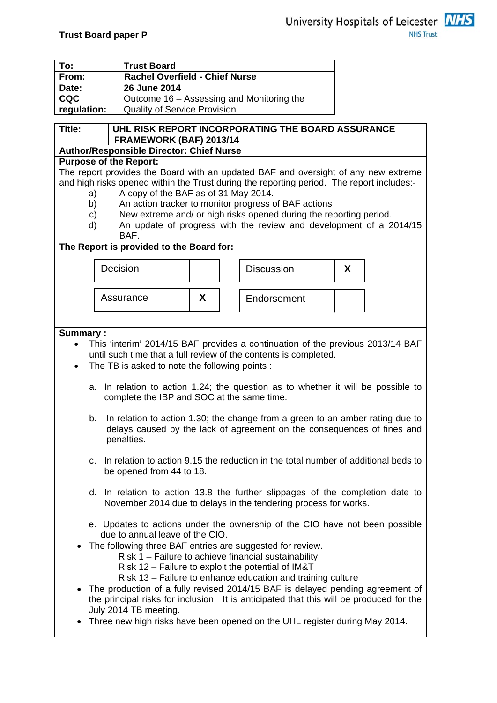

| To:         |  | <b>Trust Board</b>                              |   |                                                                                           |   |  |
|-------------|--|-------------------------------------------------|---|-------------------------------------------------------------------------------------------|---|--|
| From:       |  | <b>Rachel Overfield - Chief Nurse</b>           |   |                                                                                           |   |  |
| Date:       |  | 26 June 2014                                    |   |                                                                                           |   |  |
| <b>CQC</b>  |  | Outcome 16 – Assessing and Monitoring the       |   |                                                                                           |   |  |
| regulation: |  | <b>Quality of Service Provision</b>             |   |                                                                                           |   |  |
|             |  |                                                 |   |                                                                                           |   |  |
| Title:      |  |                                                 |   | UHL RISK REPORT INCORPORATING THE BOARD ASSURANCE                                         |   |  |
|             |  | FRAMEWORK (BAF) 2013/14                         |   |                                                                                           |   |  |
|             |  | <b>Author/Responsible Director: Chief Nurse</b> |   |                                                                                           |   |  |
|             |  | <b>Purpose of the Report:</b>                   |   |                                                                                           |   |  |
|             |  |                                                 |   | The report provides the Board with an updated BAF and oversight of any new extreme        |   |  |
|             |  |                                                 |   | and high risks opened within the Trust during the reporting period. The report includes:- |   |  |
| a)          |  | A copy of the BAF as of 31 May 2014.            |   |                                                                                           |   |  |
| b)          |  |                                                 |   | An action tracker to monitor progress of BAF actions                                      |   |  |
| c)          |  |                                                 |   | New extreme and/ or high risks opened during the reporting period.                        |   |  |
| d)          |  |                                                 |   | An update of progress with the review and development of a 2014/15                        |   |  |
|             |  | BAF.                                            |   |                                                                                           |   |  |
|             |  | The Report is provided to the Board for:        |   |                                                                                           |   |  |
|             |  |                                                 |   |                                                                                           |   |  |
|             |  | Decision                                        |   | <b>Discussion</b>                                                                         | X |  |
|             |  |                                                 |   |                                                                                           |   |  |
|             |  |                                                 |   |                                                                                           |   |  |
|             |  | Assurance                                       | X | Endorsement                                                                               |   |  |
|             |  |                                                 |   |                                                                                           |   |  |

#### **Summary :**

- This 'interim' 2014/15 BAF provides a continuation of the previous 2013/14 BAF until such time that a full review of the contents is completed.
- The TB is asked to note the following points :
	- a. In relation to action 1.24; the question as to whether it will be possible to complete the IBP and SOC at the same time.
	- b. In relation to action 1.30; the change from a green to an amber rating due to delays caused by the lack of agreement on the consequences of fines and penalties.
	- c. In relation to action 9.15 the reduction in the total number of additional beds to be opened from 44 to 18.
	- d. In relation to action 13.8 the further slippages of the completion date to November 2014 due to delays in the tendering process for works.
	- e. Updates to actions under the ownership of the CIO have not been possible due to annual leave of the CIO.
- The following three BAF entries are suggested for review.
	- Risk 1 Failure to achieve financial sustainability
	- Risk 12 Failure to exploit the potential of IM&T
	- Risk 13 Failure to enhance education and training culture
- The production of a fully revised 2014/15 BAF is delayed pending agreement of the principal risks for inclusion. It is anticipated that this will be produced for the July 2014 TB meeting.
- Three new high risks have been opened on the UHL register during May 2014.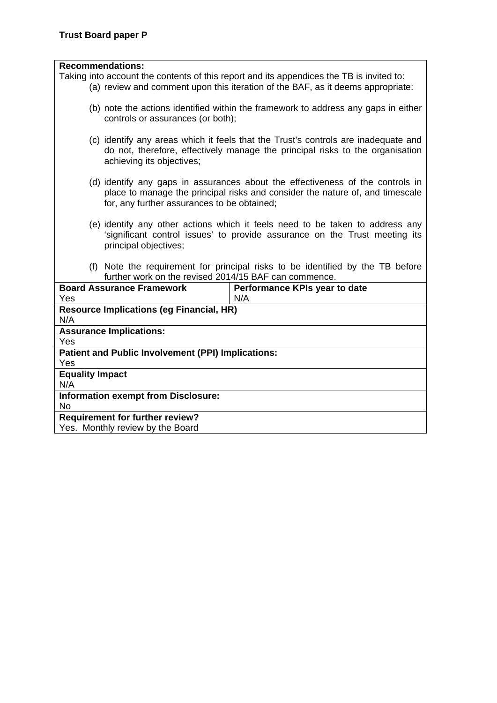#### **Recommendations:**

Taking into account the contents of this report and its appendices the TB is invited to:

- (a) review and comment upon this iteration of the BAF, as it deems appropriate:
- (b) note the actions identified within the framework to address any gaps in either controls or assurances (or both);
- (c) identify any areas which it feels that the Trust's controls are inadequate and do not, therefore, effectively manage the principal risks to the organisation achieving its objectives;
- (d) identify any gaps in assurances about the effectiveness of the controls in place to manage the principal risks and consider the nature of, and timescale for, any further assurances to be obtained;
- (e) identify any other actions which it feels need to be taken to address any 'significant control issues' to provide assurance on the Trust meeting its principal objectives;
- (f) Note the requirement for principal risks to be identified by the TB before further work on the revised 2014/15 BAF can commence.

| <b>Board Assurance Framework</b>                   | Performance KPIs year to date |
|----------------------------------------------------|-------------------------------|
| <b>Yes</b>                                         | N/A                           |
| <b>Resource Implications (eg Financial, HR)</b>    |                               |
| N/A                                                |                               |
| <b>Assurance Implications:</b>                     |                               |
| Yes                                                |                               |
| Patient and Public Involvement (PPI) Implications: |                               |
| Yes                                                |                               |
| <b>Equality Impact</b>                             |                               |
| N/A                                                |                               |
| <b>Information exempt from Disclosure:</b>         |                               |
| No.                                                |                               |
| <b>Requirement for further review?</b>             |                               |
| Yes. Monthly review by the Board                   |                               |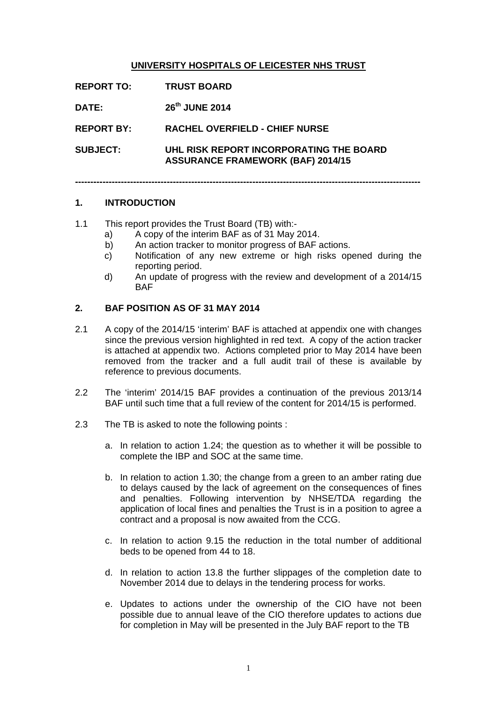#### **UNIVERSITY HOSPITALS OF LEICESTER NHS TRUST**

| <b>REPORT TO:</b> | <b>TRUST BOARD</b>                                                                  |
|-------------------|-------------------------------------------------------------------------------------|
| <b>DATE:</b>      | 26th JUNE 2014                                                                      |
| <b>REPORT BY:</b> | <b>RACHEL OVERFIELD - CHIEF NURSE</b>                                               |
| <b>SUBJECT:</b>   | UHL RISK REPORT INCORPORATING THE BOARD<br><b>ASSURANCE FRAMEWORK (BAF) 2014/15</b> |

**-----------------------------------------------------------------------------------------------------------------** 

#### **1. INTRODUCTION**

- 1.1 This report provides the Trust Board (TB) with:
	- a) A copy of the interim BAF as of 31 May 2014.
	- b) An action tracker to monitor progress of BAF actions.
	- c) Notification of any new extreme or high risks opened during the reporting period.
	- d) An update of progress with the review and development of a 2014/15 BAF

#### **2. BAF POSITION AS OF 31 MAY 2014**

- 2.1 A copy of the 2014/15 'interim' BAF is attached at appendix one with changes since the previous version highlighted in red text. A copy of the action tracker is attached at appendix two. Actions completed prior to May 2014 have been removed from the tracker and a full audit trail of these is available by reference to previous documents.
- 2.2 The 'interim' 2014/15 BAF provides a continuation of the previous 2013/14 BAF until such time that a full review of the content for 2014/15 is performed.
- 2.3 The TB is asked to note the following points :
	- a. In relation to action 1.24; the question as to whether it will be possible to complete the IBP and SOC at the same time.
	- b. In relation to action 1.30; the change from a green to an amber rating due to delays caused by the lack of agreement on the consequences of fines and penalties. Following intervention by NHSE/TDA regarding the application of local fines and penalties the Trust is in a position to agree a contract and a proposal is now awaited from the CCG.
	- c. In relation to action 9.15 the reduction in the total number of additional beds to be opened from 44 to 18.
	- d. In relation to action 13.8 the further slippages of the completion date to November 2014 due to delays in the tendering process for works.
	- e. Updates to actions under the ownership of the CIO have not been possible due to annual leave of the CIO therefore updates to actions due for completion in May will be presented in the July BAF report to the TB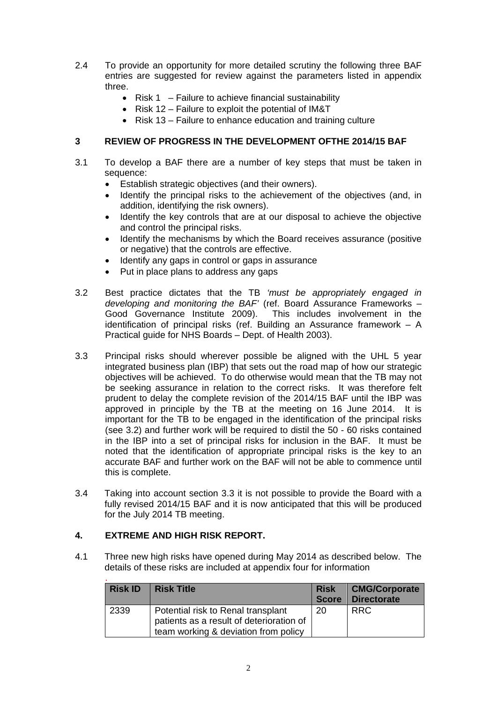- 2.4 To provide an opportunity for more detailed scrutiny the following three BAF entries are suggested for review against the parameters listed in appendix three.
	- Risk  $1 -$  Failure to achieve financial sustainability
	- Risk 12 Failure to exploit the potential of IM&T
	- Risk 13 Failure to enhance education and training culture

#### **3 REVIEW OF PROGRESS IN THE DEVELOPMENT OFTHE 2014/15 BAF**

- 3.1 To develop a BAF there are a number of key steps that must be taken in sequence:
	- Establish strategic objectives (and their owners).
	- Identify the principal risks to the achievement of the objectives (and, in addition, identifying the risk owners).
	- Identify the key controls that are at our disposal to achieve the objective and control the principal risks.
	- Identify the mechanisms by which the Board receives assurance (positive or negative) that the controls are effective.
	- Identify any gaps in control or gaps in assurance
	- Put in place plans to address any gaps
- 3.2 Best practice dictates that the TB *'must be appropriately engaged in developing and monitoring the BAF'* (ref. Board Assurance Frameworks – Good Governance Institute 2009). This includes involvement in the identification of principal risks (ref. Building an Assurance framework – A Practical guide for NHS Boards – Dept. of Health 2003).
- 3.3 Principal risks should wherever possible be aligned with the UHL 5 year integrated business plan (IBP) that sets out the road map of how our strategic objectives will be achieved. To do otherwise would mean that the TB may not be seeking assurance in relation to the correct risks. It was therefore felt prudent to delay the complete revision of the 2014/15 BAF until the IBP was approved in principle by the TB at the meeting on 16 June 2014. It is important for the TB to be engaged in the identification of the principal risks (see 3.2) and further work will be required to distil the 50 - 60 risks contained in the IBP into a set of principal risks for inclusion in the BAF. It must be noted that the identification of appropriate principal risks is the key to an accurate BAF and further work on the BAF will not be able to commence until this is complete.
- 3.4 Taking into account section 3.3 it is not possible to provide the Board with a fully revised 2014/15 BAF and it is now anticipated that this will be produced for the July 2014 TB meeting.

### **4. EXTREME AND HIGH RISK REPORT.**

4.1 Three new high risks have opened during May 2014 as described below. The details of these risks are included at appendix four for information

| <b>Risk ID</b> | <b>Risk Title</b>                                                                                                      | <b>Risk</b><br><b>Score</b> | <b>CMG/Corporate</b><br><b>Directorate</b> |
|----------------|------------------------------------------------------------------------------------------------------------------------|-----------------------------|--------------------------------------------|
| 2339           | Potential risk to Renal transplant<br>patients as a result of deterioration of<br>team working & deviation from policy | 20                          | <b>RRC</b>                                 |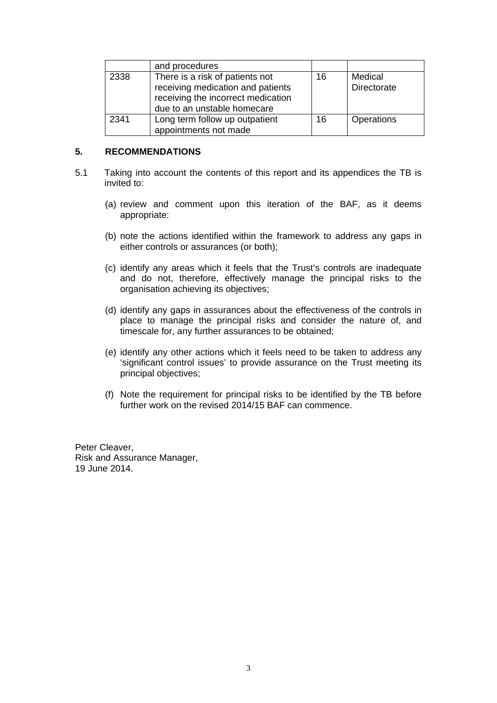|      | and procedures                                                                                                                            |    |                        |
|------|-------------------------------------------------------------------------------------------------------------------------------------------|----|------------------------|
| 2338 | There is a risk of patients not<br>receiving medication and patients<br>receiving the incorrect medication<br>due to an unstable homecare | 16 | Medical<br>Directorate |
| 2341 | Long term follow up outpatient<br>appointments not made                                                                                   | 16 | <b>Operations</b>      |

#### **5. RECOMMENDATIONS**

- 5.1 Taking into account the contents of this report and its appendices the TB is invited to:
	- (a) review and comment upon this iteration of the BAF, as it deems appropriate:
	- (b) note the actions identified within the framework to address any gaps in either controls or assurances (or both);
	- (c) identify any areas which it feels that the Trust's controls are inadequate and do not, therefore, effectively manage the principal risks to the organisation achieving its objectives;
	- (d) identify any gaps in assurances about the effectiveness of the controls in place to manage the principal risks and consider the nature of, and timescale for, any further assurances to be obtained;
	- (e) identify any other actions which it feels need to be taken to address any 'significant control issues' to provide assurance on the Trust meeting its principal objectives;
	- (f) Note the requirement for principal risks to be identified by the TB before further work on the revised 2014/15 BAF can commence.

Peter Cleaver, Risk and Assurance Manager, 19 June 2014.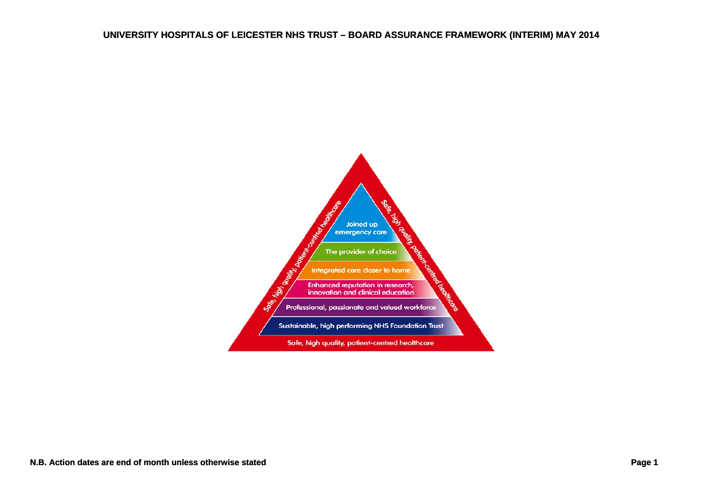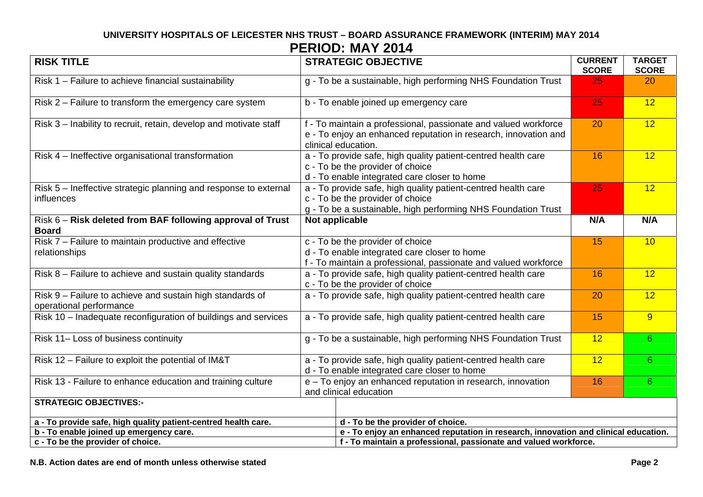| <b>RISK TITLE</b>                                                                    | <b>STRATEGIC OBJECTIVE</b>                                                                                                                                         | <b>CURRENT</b><br><b>SCORE</b> | <b>TARGET</b><br><b>SCORE</b> |  |  |
|--------------------------------------------------------------------------------------|--------------------------------------------------------------------------------------------------------------------------------------------------------------------|--------------------------------|-------------------------------|--|--|
| Risk 1 - Failure to achieve financial sustainability                                 | g - To be a sustainable, high performing NHS Foundation Trust                                                                                                      | 25                             | 20                            |  |  |
| Risk 2 – Failure to transform the emergency care system                              | b - To enable joined up emergency care                                                                                                                             | 25                             | 12                            |  |  |
| Risk 3 - Inability to recruit, retain, develop and motivate staff                    | f - To maintain a professional, passionate and valued workforce<br>e - To enjoy an enhanced reputation in research, innovation and<br>clinical education.          | 20                             | 12                            |  |  |
| Risk 4 - Ineffective organisational transformation                                   | a - To provide safe, high quality patient-centred health care<br>c - To be the provider of choice<br>d - To enable integrated care closer to home                  | 16                             | 12                            |  |  |
| Risk 5 - Ineffective strategic planning and response to external<br>influences       | a - To provide safe, high quality patient-centred health care<br>c - To be the provider of choice<br>g - To be a sustainable, high performing NHS Foundation Trust | 25                             | 12                            |  |  |
| Risk 6 - Risk deleted from BAF following approval of Trust<br><b>Board</b>           | Not applicable                                                                                                                                                     | N/A                            | N/A                           |  |  |
| Risk 7 - Failure to maintain productive and effective<br>relationships               | c - To be the provider of choice<br>d - To enable integrated care closer to home<br>f - To maintain a professional, passionate and valued workforce                | 15                             | 10                            |  |  |
| Risk 8 - Failure to achieve and sustain quality standards                            | a - To provide safe, high quality patient-centred health care<br>c - To be the provider of choice                                                                  | 16                             | $\overline{12}$               |  |  |
| Risk 9 - Failure to achieve and sustain high standards of<br>operational performance | a - To provide safe, high quality patient-centred health care                                                                                                      | 20                             | 12                            |  |  |
| Risk 10 - Inadequate reconfiguration of buildings and services                       | a - To provide safe, high quality patient-centred health care                                                                                                      | 15                             | 9                             |  |  |
| Risk 11- Loss of business continuity                                                 | g - To be a sustainable, high performing NHS Foundation Trust                                                                                                      | 12                             | 6                             |  |  |
| Risk 12 - Failure to exploit the potential of IM&T                                   | a - To provide safe, high quality patient-centred health care<br>d - To enable integrated care closer to home                                                      | 12                             | 6 <sup>1</sup>                |  |  |
| Risk 13 - Failure to enhance education and training culture                          | e - To enjoy an enhanced reputation in research, innovation<br>and clinical education                                                                              | 16                             | 6                             |  |  |
| <b>STRATEGIC OBJECTIVES:-</b>                                                        |                                                                                                                                                                    |                                |                               |  |  |
| a - To provide safe, high quality patient-centred health care.                       | d - To be the provider of choice.                                                                                                                                  |                                |                               |  |  |
| b - To enable joined up emergency care.                                              | e - To enjoy an enhanced reputation in research, innovation and clinical education.                                                                                |                                |                               |  |  |
| c - To be the provider of choice.                                                    | f - To maintain a professional, passionate and valued workforce.                                                                                                   |                                |                               |  |  |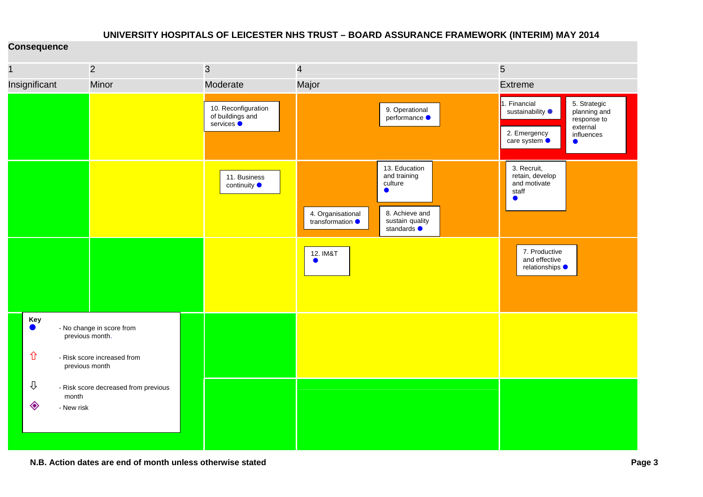#### **Consequence**

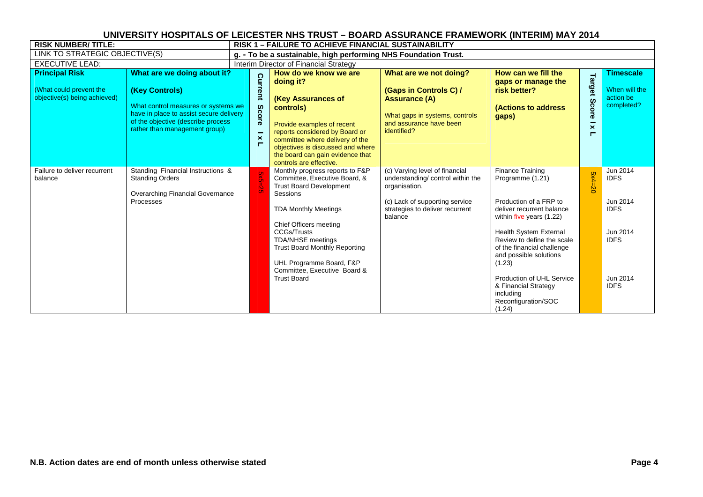| <b>RISK NUMBER/TITLE:</b>                                                        |                                                                                                                                                                                                        | RISK 1 – FAILURE TO ACHIEVE FINANCIAL SUSTAINABILITY             |                                                                                                                                                                                                                                                                                                                                                     |                                                                                                                                                                     |                                                                                                                                                                                                                                                                                                                                                                    |                                                         |                                                                                                            |  |
|----------------------------------------------------------------------------------|--------------------------------------------------------------------------------------------------------------------------------------------------------------------------------------------------------|------------------------------------------------------------------|-----------------------------------------------------------------------------------------------------------------------------------------------------------------------------------------------------------------------------------------------------------------------------------------------------------------------------------------------------|---------------------------------------------------------------------------------------------------------------------------------------------------------------------|--------------------------------------------------------------------------------------------------------------------------------------------------------------------------------------------------------------------------------------------------------------------------------------------------------------------------------------------------------------------|---------------------------------------------------------|------------------------------------------------------------------------------------------------------------|--|
| LINK TO STRATEGIC OBJECTIVE(S)                                                   |                                                                                                                                                                                                        |                                                                  | g. - To be a sustainable, high performing NHS Foundation Trust.                                                                                                                                                                                                                                                                                     |                                                                                                                                                                     |                                                                                                                                                                                                                                                                                                                                                                    |                                                         |                                                                                                            |  |
| <b>EXECUTIVE LEAD:</b>                                                           |                                                                                                                                                                                                        |                                                                  | Interim Director of Financial Strategy                                                                                                                                                                                                                                                                                                              |                                                                                                                                                                     |                                                                                                                                                                                                                                                                                                                                                                    |                                                         |                                                                                                            |  |
| <b>Principal Risk</b><br>(What could prevent the<br>objective(s) being achieved) | What are we doing about it?<br>(Key Controls)<br>What control measures or systems we<br>have in place to assist secure delivery<br>of the objective (describe process<br>rather than management group) | Current<br>Score<br>-<br>$\boldsymbol{\times}$<br>$\blacksquare$ | How do we know we are<br>doing it?<br>(Key Assurances of<br>controls)<br>Provide examples of recent<br>reports considered by Board or<br>committee where delivery of the<br>objectives is discussed and where<br>the board can gain evidence that<br>controls are effective.                                                                        | What are we not doing?<br>(Gaps in Controls C) /<br><b>Assurance (A)</b><br>What gaps in systems, controls<br>and assurance have been<br>identified?                | How can we fill the<br>gaps or manage the<br>risk better?<br><b>(Actions to address)</b><br>gaps)                                                                                                                                                                                                                                                                  | Target<br>$\omega$<br>$\tilde{8}$<br>నె<br>$\mathsf{x}$ | <b>Timescale</b><br>When will the<br>action be<br>completed?                                               |  |
| Failure to deliver recurrent<br>balance                                          | Standing Financial Instructions &<br><b>Standing Orders</b><br><b>Overarching Financial Governance</b><br>Processes                                                                                    |                                                                  | Monthly progress reports to F&P<br>Committee, Executive Board, &<br><b>Trust Board Development</b><br>Sessions<br><b>TDA Monthly Meetings</b><br>Chief Officers meeting<br><b>CCGs/Trusts</b><br><b>TDA/NHSE</b> meetings<br><b>Trust Board Monthly Reporting</b><br>UHL Programme Board, F&P<br>Committee, Executive Board &<br><b>Trust Board</b> | (c) Varying level of financial<br>understanding/control within the<br>organisation.<br>(c) Lack of supporting service<br>strategies to deliver recurrent<br>balance | <b>Finance Training</b><br>Programme (1.21)<br>Production of a FRP to<br>deliver recurrent balance<br>within five years (1.22)<br><b>Health System External</b><br>Review to define the scale<br>of the financial challenge<br>and possible solutions<br>(1.23)<br>Production of UHL Service<br>& Financial Strategy<br>including<br>Reconfiguration/SOC<br>(1.24) | $5x4 =$<br>$\aleph$                                     | Jun $2014$<br><b>IDFS</b><br>Jun 2014<br><b>IDFS</b><br>Jun 2014<br><b>IDFS</b><br>Jun 2014<br><b>IDFS</b> |  |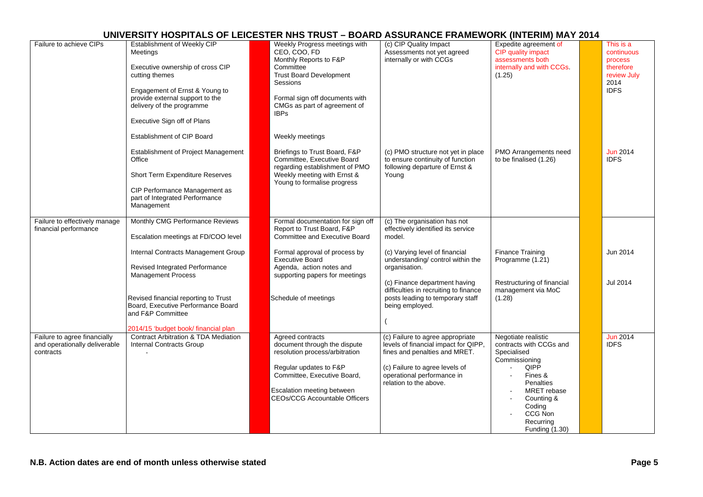| Failure to achieve CIPs                                                    | Establishment of Weekly CIP<br>Meetings<br>Executive ownership of cross CIP<br>cutting themes<br>Engagement of Ernst & Young to<br>provide external support to the<br>delivery of the programme<br>Executive Sign off of Plans | Weekly Progress meetings with<br>CEO, COO, FD<br>Monthly Reports to F&P<br>Committee<br><b>Trust Board Development</b><br>Sessions<br>Formal sign off documents with<br>CMGs as part of agreement of<br><b>IBPs</b>      | (c) CIP Quality Impact<br>Assessments not yet agreed<br>internally or with CCGs                                                                                                                     | Expedite agreement of<br>CIP quality impact<br>assessments both<br>internally and with CCGs.<br>(1.25)                                                                                          | This is a<br>continuous<br>process<br>therefore<br>review July<br>2014<br><b>IDFS</b> |
|----------------------------------------------------------------------------|--------------------------------------------------------------------------------------------------------------------------------------------------------------------------------------------------------------------------------|--------------------------------------------------------------------------------------------------------------------------------------------------------------------------------------------------------------------------|-----------------------------------------------------------------------------------------------------------------------------------------------------------------------------------------------------|-------------------------------------------------------------------------------------------------------------------------------------------------------------------------------------------------|---------------------------------------------------------------------------------------|
|                                                                            | Establishment of CIP Board<br>Establishment of Project Management<br>Office<br>Short Term Expenditure Reserves<br>CIP Performance Management as<br>part of Integrated Performance<br>Management                                | Weekly meetings<br>Briefings to Trust Board, F&P<br>Committee, Executive Board<br>regarding establishment of PMO<br>Weekly meeting with Ernst &<br>Young to formalise progress                                           | (c) PMO structure not yet in place<br>to ensure continuity of function<br>following departure of Ernst &<br>Young                                                                                   | PMO Arrangements need<br>to be finalised (1.26)                                                                                                                                                 | <b>Jun 2014</b><br><b>IDFS</b>                                                        |
| Failure to effectively manage<br>financial performance                     | Monthly CMG Performance Reviews<br>Escalation meetings at FD/COO level                                                                                                                                                         | Formal documentation for sign off<br>Report to Trust Board, F&P<br><b>Committee and Executive Board</b>                                                                                                                  | (c) The organisation has not<br>effectively identified its service<br>model.                                                                                                                        |                                                                                                                                                                                                 |                                                                                       |
|                                                                            | Internal Contracts Management Group<br><b>Revised Integrated Performance</b><br><b>Management Process</b>                                                                                                                      | Formal approval of process by<br><b>Executive Board</b><br>Agenda, action notes and<br>supporting papers for meetings                                                                                                    | (c) Varying level of financial<br>understanding/ control within the<br>organisation.                                                                                                                | <b>Finance Training</b><br>Programme (1.21)                                                                                                                                                     | Jun 2014                                                                              |
|                                                                            | Revised financial reporting to Trust<br>Board, Executive Performance Board<br>and F&P Committee<br>2014/15 'budget book/ financial plan                                                                                        | Schedule of meetings                                                                                                                                                                                                     | (c) Finance department having<br>difficulties in recruiting to finance<br>posts leading to temporary staff<br>being employed.                                                                       | Restructuring of financial<br>management via MoC<br>(1.28)                                                                                                                                      | Jul 2014                                                                              |
| Failure to agree financially<br>and operationally deliverable<br>contracts | <b>Contract Arbitration &amp; TDA Mediation</b><br><b>Internal Contracts Group</b>                                                                                                                                             | Agreed contracts<br>document through the dispute<br>resolution process/arbitration<br>Regular updates to F&P<br>Committee, Executive Board,<br><b>Escalation meeting between</b><br><b>CEOs/CCG Accountable Officers</b> | (c) Failure to agree appropriate<br>levels of financial impact for QIPP,<br>fines and penalties and MRET.<br>(c) Failure to agree levels of<br>operational performance in<br>relation to the above. | Negotiate realistic<br>contracts with CCGs and<br>Specialised<br>Commissioning<br>QIPP<br>Fines &<br>Penalties<br>MRET rebase<br>Counting &<br>Coding<br>CCG Non<br>Recurring<br>Funding (1.30) | <b>Jun 2014</b><br><b>IDFS</b>                                                        |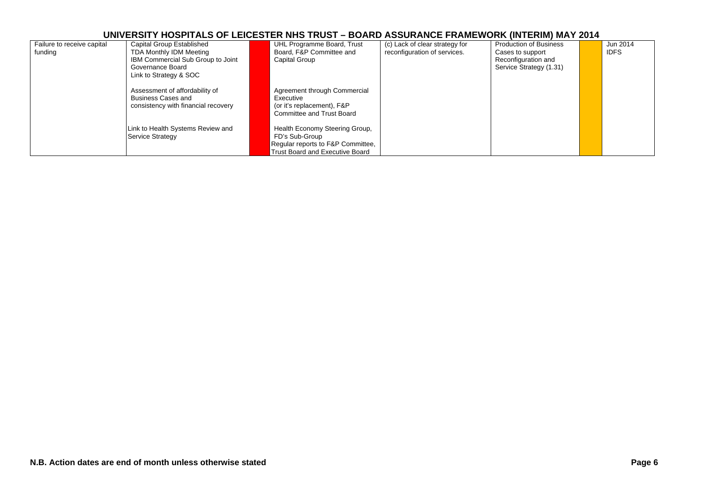| Failure to receive capital | Capital Group Established           | UHL Programme Board, Trust             | (c) Lack of clear strategy for | <b>Production of Business</b> | Jun 2014    |
|----------------------------|-------------------------------------|----------------------------------------|--------------------------------|-------------------------------|-------------|
| funding                    | TDA Monthly IDM Meeting             | Board, F&P Committee and               | reconfiguration of services.   | Cases to support              | <b>IDFS</b> |
|                            | IBM Commercial Sub Group to Joint   | Capital Group                          |                                | Reconfiguration and           |             |
|                            | Governance Board                    |                                        |                                | Service Strategy (1.31)       |             |
|                            | Link to Strategy & SOC              |                                        |                                |                               |             |
|                            |                                     |                                        |                                |                               |             |
|                            | Assessment of affordability of      | Agreement through Commercial           |                                |                               |             |
|                            | Business Cases and                  | Executive                              |                                |                               |             |
|                            | consistency with financial recovery | (or it's replacement), F&P             |                                |                               |             |
|                            |                                     | <b>Committee and Trust Board</b>       |                                |                               |             |
|                            |                                     |                                        |                                |                               |             |
|                            | Link to Health Systems Review and   | Health Economy Steering Group,         |                                |                               |             |
|                            | Service Strategy                    | FD's Sub-Group                         |                                |                               |             |
|                            |                                     | Regular reports to F&P Committee,      |                                |                               |             |
|                            |                                     | <b>Trust Board and Executive Board</b> |                                |                               |             |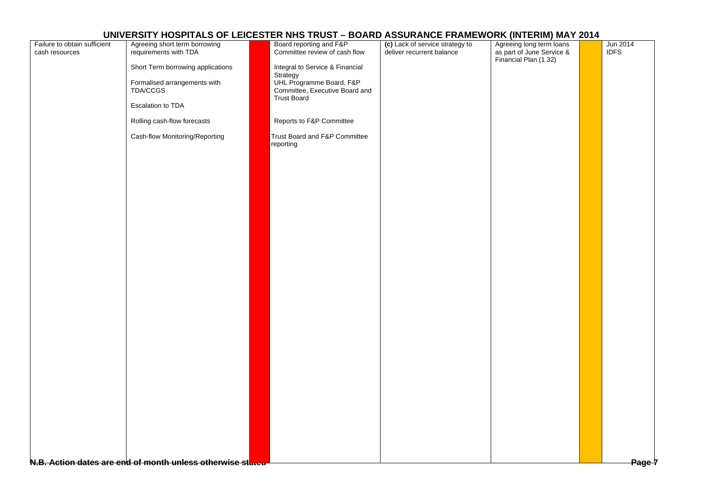| Failure to obtain sufficient | Agreeing short term borrowing                              | Board reporting and F&P                                    | (c) Lack of service strategy to | Agreeing long term loans                           | Jun 2014    |
|------------------------------|------------------------------------------------------------|------------------------------------------------------------|---------------------------------|----------------------------------------------------|-------------|
| cash resources               | requirements with TDA                                      | Committee review of cash flow                              | deliver recurrent balance       |                                                    | <b>IDFS</b> |
|                              |                                                            |                                                            |                                 | as part of June Service &<br>Financial Plan (1.32) |             |
|                              | Short Term borrowing applications                          | Integral to Service & Financial                            |                                 |                                                    |             |
|                              |                                                            | Strategy                                                   |                                 |                                                    |             |
|                              | Formalised arrangements with<br>TDA/CCGS                   | UHL Programme Board, F&P<br>Committee, Executive Board and |                                 |                                                    |             |
|                              |                                                            | <b>Trust Board</b>                                         |                                 |                                                    |             |
|                              | Escalation to TDA                                          |                                                            |                                 |                                                    |             |
|                              |                                                            |                                                            |                                 |                                                    |             |
|                              | Rolling cash-flow forecasts                                | Reports to F&P Committee                                   |                                 |                                                    |             |
|                              |                                                            |                                                            |                                 |                                                    |             |
|                              | Cash-flow Monitoring/Reporting                             | Trust Board and F&P Committee                              |                                 |                                                    |             |
|                              |                                                            | reporting                                                  |                                 |                                                    |             |
|                              |                                                            |                                                            |                                 |                                                    |             |
|                              |                                                            |                                                            |                                 |                                                    |             |
|                              |                                                            |                                                            |                                 |                                                    |             |
|                              |                                                            |                                                            |                                 |                                                    |             |
|                              |                                                            |                                                            |                                 |                                                    |             |
|                              |                                                            |                                                            |                                 |                                                    |             |
|                              |                                                            |                                                            |                                 |                                                    |             |
|                              |                                                            |                                                            |                                 |                                                    |             |
|                              |                                                            |                                                            |                                 |                                                    |             |
|                              |                                                            |                                                            |                                 |                                                    |             |
|                              |                                                            |                                                            |                                 |                                                    |             |
|                              |                                                            |                                                            |                                 |                                                    |             |
|                              |                                                            |                                                            |                                 |                                                    |             |
|                              |                                                            |                                                            |                                 |                                                    |             |
|                              |                                                            |                                                            |                                 |                                                    |             |
|                              |                                                            |                                                            |                                 |                                                    |             |
|                              |                                                            |                                                            |                                 |                                                    |             |
|                              |                                                            |                                                            |                                 |                                                    |             |
|                              |                                                            |                                                            |                                 |                                                    |             |
|                              |                                                            |                                                            |                                 |                                                    |             |
|                              |                                                            |                                                            |                                 |                                                    |             |
|                              |                                                            |                                                            |                                 |                                                    |             |
|                              |                                                            |                                                            |                                 |                                                    |             |
|                              |                                                            |                                                            |                                 |                                                    |             |
|                              |                                                            |                                                            |                                 |                                                    |             |
|                              |                                                            |                                                            |                                 |                                                    |             |
|                              |                                                            |                                                            |                                 |                                                    |             |
|                              |                                                            |                                                            |                                 |                                                    |             |
|                              |                                                            |                                                            |                                 |                                                    |             |
|                              |                                                            |                                                            |                                 |                                                    |             |
|                              |                                                            |                                                            |                                 |                                                    |             |
|                              |                                                            |                                                            |                                 |                                                    |             |
|                              |                                                            |                                                            |                                 |                                                    |             |
|                              |                                                            |                                                            |                                 |                                                    |             |
|                              |                                                            |                                                            |                                 |                                                    |             |
|                              |                                                            |                                                            |                                 |                                                    |             |
|                              | N.B. Action dates are end of month unless otherwise stated |                                                            |                                 |                                                    | Page 7      |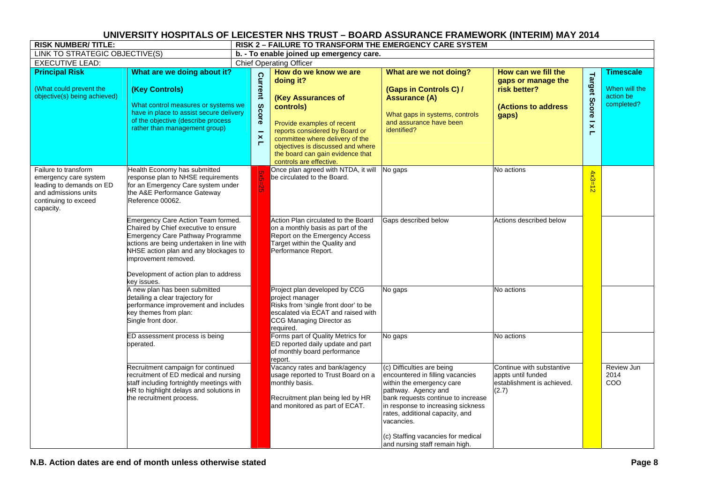| <b>RISK NUMBER/TITLE:</b>                                                                                                              |                                                                                                                                                                                                                                                                                             | RISK 2 - FAILURE TO TRANSFORM THE EMERGENCY CARE SYSTEM |                                                                                                                                                                                                                                                                              |                                                                                                                                                                                                                                                                                                                         |                                                                                           |                                                     |                                                              |  |  |  |
|----------------------------------------------------------------------------------------------------------------------------------------|---------------------------------------------------------------------------------------------------------------------------------------------------------------------------------------------------------------------------------------------------------------------------------------------|---------------------------------------------------------|------------------------------------------------------------------------------------------------------------------------------------------------------------------------------------------------------------------------------------------------------------------------------|-------------------------------------------------------------------------------------------------------------------------------------------------------------------------------------------------------------------------------------------------------------------------------------------------------------------------|-------------------------------------------------------------------------------------------|-----------------------------------------------------|--------------------------------------------------------------|--|--|--|
| LINK TO STRATEGIC OBJECTIVE(S)                                                                                                         |                                                                                                                                                                                                                                                                                             | b. - To enable joined up emergency care.                |                                                                                                                                                                                                                                                                              |                                                                                                                                                                                                                                                                                                                         |                                                                                           |                                                     |                                                              |  |  |  |
| <b>EXECUTIVE LEAD:</b>                                                                                                                 |                                                                                                                                                                                                                                                                                             |                                                         | <b>Chief Operating Officer</b>                                                                                                                                                                                                                                               |                                                                                                                                                                                                                                                                                                                         |                                                                                           |                                                     |                                                              |  |  |  |
| <b>Principal Risk</b><br>(What could prevent the<br>objective(s) being achieved)                                                       | What are we doing about it?<br>(Key Controls)<br>What control measures or systems we<br>have in place to assist secure delivery<br>of the objective (describe process<br>rather than management group)                                                                                      | <b>Current</b><br>Score<br>$\boldsymbol{\times}$<br>п   | How do we know we are<br>doing it?<br>(Key Assurances of<br>controls)<br>Provide examples of recent<br>reports considered by Board or<br>committee where delivery of the<br>objectives is discussed and where<br>the board can gain evidence that<br>controls are effective. | What are we not doing?<br>(Gaps in Controls C) /<br><b>Assurance (A)</b><br>What gaps in systems, controls<br>and assurance have been<br>identified?                                                                                                                                                                    | How can we fill the<br>gaps or manage the<br>risk better?<br>(Actions to address<br>gaps) | <b>Target Score</b><br>$\overline{\mathbf{x}}$<br>Е | <b>Timescale</b><br>When will the<br>action be<br>completed? |  |  |  |
| Failure to transform<br>emergency care system<br>leading to demands on ED<br>and admissions units<br>continuing to exceed<br>capacity. | Health Economy has submitted<br>response plan to NHSE requirements<br>for an Emergency Care system under<br>the A&E Performance Gateway<br>Reference 00062.                                                                                                                                 | Ÿ9                                                      | Once plan agreed with NTDA, it will No gaps<br>be circulated to the Board.                                                                                                                                                                                                   |                                                                                                                                                                                                                                                                                                                         | No actions                                                                                | $4x3 =$<br>$\frac{1}{\mathcal{D}}$                  |                                                              |  |  |  |
|                                                                                                                                        | Emergency Care Action Team formed.<br>Chaired by Chief executive to ensure<br><b>Emergency Care Pathway Programme</b><br>actions are being undertaken in line with<br>NHSE action plan and any blockages to<br>improvement removed.<br>Development of action plan to address<br>key issues. |                                                         | Action Plan circulated to the Board<br>on a monthly basis as part of the<br>Report on the Emergency Access<br>Target within the Quality and<br>Performance Report.                                                                                                           | Gaps described below                                                                                                                                                                                                                                                                                                    | Actions described below                                                                   |                                                     |                                                              |  |  |  |
|                                                                                                                                        | A new plan has been submitted<br>detailing a clear trajectory for<br>performance improvement and includes<br>key themes from plan:<br>Single front door.                                                                                                                                    |                                                         | Project plan developed by CCG<br>project manager<br>Risks from 'single front door' to be<br>escalated via ECAT and raised with<br>CCG Managing Director as<br>required.                                                                                                      | No gaps                                                                                                                                                                                                                                                                                                                 | No actions                                                                                |                                                     |                                                              |  |  |  |
|                                                                                                                                        | ED assessment process is being<br>operated.                                                                                                                                                                                                                                                 |                                                         | Forms part of Quality Metrics for<br>ED reported daily update and part<br>of monthly board performance<br>report.                                                                                                                                                            | No gaps                                                                                                                                                                                                                                                                                                                 | No actions                                                                                |                                                     |                                                              |  |  |  |
|                                                                                                                                        | Recruitment campaign for continued<br>recruitment of ED medical and nursing<br>staff including fortnightly meetings with<br>HR to highlight delays and solutions in<br>the recruitment process.                                                                                             |                                                         | Vacancy rates and bank/agency<br>usage reported to Trust Board on a<br>monthly basis.<br>Recruitment plan being led by HR<br>and monitored as part of ECAT.                                                                                                                  | (c) Difficulties are being<br>encountered in filling vacancies<br>within the emergency care<br>pathway. Agency and<br>bank requests continue to increase<br>in response to increasing sickness<br>rates, additional capacity, and<br>vacancies.<br>(c) Staffing vacancies for medical<br>and nursing staff remain high. | Continue with substantive<br>appts until funded<br>establishment is achieved.<br>(2.7)    |                                                     | Review Jun<br>2014<br>COO                                    |  |  |  |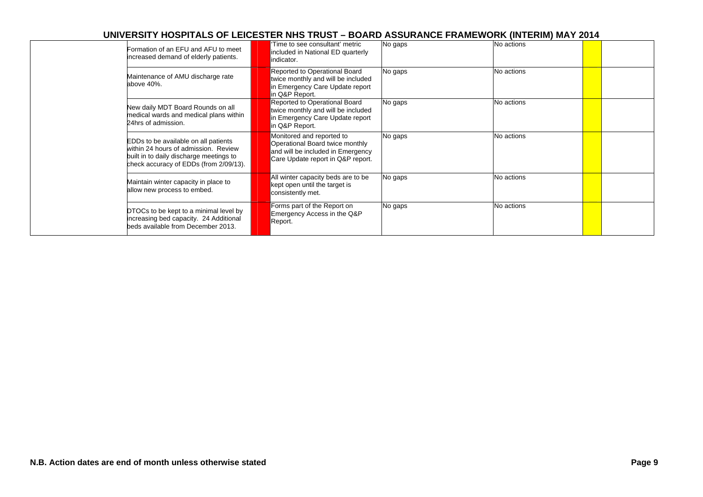| Formation of an EFU and AFU to meet<br>increased demand of elderly patients.                                                                                      | Time to see consultant' metric<br>included in National ED quarterly<br>indicator.                                                      | No gaps | No actions |  |
|-------------------------------------------------------------------------------------------------------------------------------------------------------------------|----------------------------------------------------------------------------------------------------------------------------------------|---------|------------|--|
| Maintenance of AMU discharge rate<br>above 40%.                                                                                                                   | Reported to Operational Board<br>twice monthly and will be included<br>in Emergency Care Update report<br>in Q&P Report.               | No gaps | No actions |  |
| New daily MDT Board Rounds on all<br>medical wards and medical plans within<br>24hrs of admission.                                                                | Reported to Operational Board<br>twice monthly and will be included<br>in Emergency Care Update report<br>in Q&P Report.               | No gaps | No actions |  |
| EDDs to be available on all patients<br>within 24 hours of admission. Review<br>built in to daily discharge meetings to<br>check accuracy of EDDs (from 2/09/13). | Monitored and reported to<br>Operational Board twice monthly<br>and will be included in Emergency<br>Care Update report in Q&P report. | No gaps | No actions |  |
| Maintain winter capacity in place to<br>allow new process to embed.                                                                                               | All winter capacity beds are to be<br>kept open until the target is<br>consistently met.                                               | No gaps | No actions |  |
| DTOCs to be kept to a minimal level by<br>increasing bed capacity. 24 Additional<br>beds available from December 2013.                                            | Forms part of the Report on<br>Emergency Access in the Q&P<br>Report.                                                                  | No gaps | No actions |  |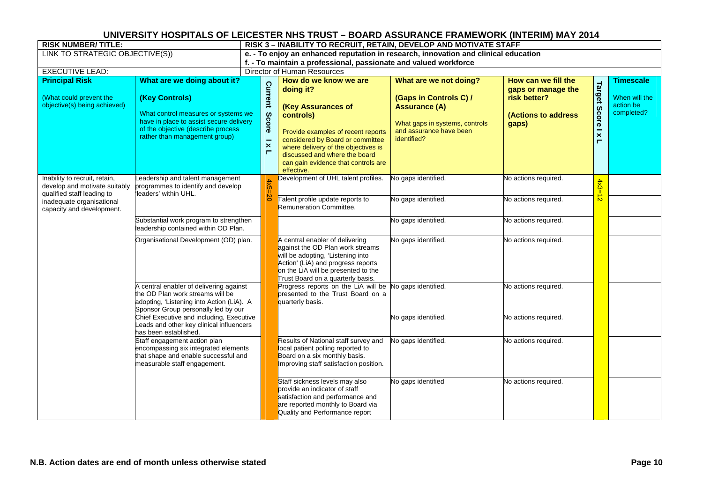| <b>RISK NUMBER/TITLE:</b>                                                            |                                                                                                                                                                         |                                                    | RISK 3 - INABILITY TO RECRUIT, RETAIN, DEVELOP AND MOTIVATE STAFF |                                                                                                                                                                                                                                                     |                                                                                                                            |                                                                           |                          |                                          |  |  |
|--------------------------------------------------------------------------------------|-------------------------------------------------------------------------------------------------------------------------------------------------------------------------|----------------------------------------------------|-------------------------------------------------------------------|-----------------------------------------------------------------------------------------------------------------------------------------------------------------------------------------------------------------------------------------------------|----------------------------------------------------------------------------------------------------------------------------|---------------------------------------------------------------------------|--------------------------|------------------------------------------|--|--|
| LINK TO STRATEGIC OBJECTIVE(S))                                                      |                                                                                                                                                                         |                                                    |                                                                   |                                                                                                                                                                                                                                                     | e. - To enjoy an enhanced reputation in research, innovation and clinical education                                        |                                                                           |                          |                                          |  |  |
|                                                                                      |                                                                                                                                                                         |                                                    |                                                                   | f. - To maintain a professional, passionate and valued workforce                                                                                                                                                                                    |                                                                                                                            |                                                                           |                          |                                          |  |  |
| <b>EXECUTIVE LEAD:</b>                                                               |                                                                                                                                                                         |                                                    |                                                                   | Director of Human Resources                                                                                                                                                                                                                         |                                                                                                                            |                                                                           |                          |                                          |  |  |
| <b>Principal Risk</b>                                                                | What are we doing about it?                                                                                                                                             |                                                    |                                                                   | How do we know we are                                                                                                                                                                                                                               | What are we not doing?                                                                                                     | How can we fill the                                                       |                          | <b>Timescale</b>                         |  |  |
| (What could prevent the<br>objective(s) being achieved)                              | (Key Controls)<br>What control measures or systems we<br>have in place to assist secure delivery<br>of the objective (describe process<br>rather than management group) | Current<br>Score<br>$\mathsf{x}$<br>$\blacksquare$ |                                                                   | doing it?<br>(Key Assurances of<br>controls)<br>Provide examples of recent reports<br>considered by Board or committee<br>where delivery of the objectives is<br>discussed and where the board<br>can gain evidence that controls are<br>effective. | (Gaps in Controls C) /<br><b>Assurance (A)</b><br>What gaps in systems, controls<br>and assurance have been<br>identified? | gaps or manage the<br>risk better?<br><b>(Actions to address</b><br>gaps) | Target<br>Score I x<br>Н | When will the<br>action be<br>completed? |  |  |
| Inability to recruit, retain,<br>develop and motivate suitably                       | Leadership and talent management<br>programmes to identify and develop<br>'leaders' within UHL.                                                                         | $4x5=20$                                           |                                                                   | Development of UHL talent profiles.                                                                                                                                                                                                                 | No gaps identified.                                                                                                        | No actions required.                                                      | $4x3 =$                  |                                          |  |  |
| qualified staff leading to<br>inadequate organisational<br>capacity and development. |                                                                                                                                                                         |                                                    |                                                                   | Talent profile update reports to<br><b>Remuneration Committee.</b>                                                                                                                                                                                  | No gaps identified.                                                                                                        | No actions required.                                                      | $\frac{1}{\infty}$       |                                          |  |  |
|                                                                                      | Substantial work program to strengthen<br>leadership contained within OD Plan.                                                                                          |                                                    |                                                                   |                                                                                                                                                                                                                                                     | No gaps identified.                                                                                                        | No actions required.                                                      |                          |                                          |  |  |
|                                                                                      | Organisational Development (OD) plan.                                                                                                                                   |                                                    |                                                                   | A central enabler of delivering<br>against the OD Plan work streams<br>will be adopting, 'Listening into<br>Action' (LiA) and progress reports<br>on the LiA will be presented to the<br>Trust Board on a quarterly basis.                          | No gaps identified.                                                                                                        | No actions required.                                                      |                          |                                          |  |  |
|                                                                                      | A central enabler of delivering against<br>the OD Plan work streams will be<br>adopting, 'Listening into Action (LiA). A<br>Sponsor Group personally led by our         |                                                    |                                                                   | Progress reports on the LiA will be<br>presented to the Trust Board on a<br>quarterly basis.                                                                                                                                                        | No gaps identified.                                                                                                        | No actions required.                                                      |                          |                                          |  |  |
|                                                                                      | Chief Executive and including, Executive<br>Leads and other key clinical influencers<br>has been established.                                                           |                                                    |                                                                   |                                                                                                                                                                                                                                                     | No gaps identified.                                                                                                        | No actions required.                                                      |                          |                                          |  |  |
|                                                                                      | Staff engagement action plan<br>encompassing six integrated elements<br>that shape and enable successful and<br>measurable staff engagement.                            |                                                    |                                                                   | Results of National staff survey and<br>local patient polling reported to<br>Board on a six monthly basis.<br>Improving staff satisfaction position.                                                                                                | No gaps identified.                                                                                                        | No actions required.                                                      |                          |                                          |  |  |
|                                                                                      |                                                                                                                                                                         |                                                    |                                                                   | Staff sickness levels may also<br>provide an indicator of staff<br>satisfaction and performance and<br>are reported monthly to Board via<br>Quality and Performance report                                                                          | No gaps identified                                                                                                         | No actions required.                                                      |                          |                                          |  |  |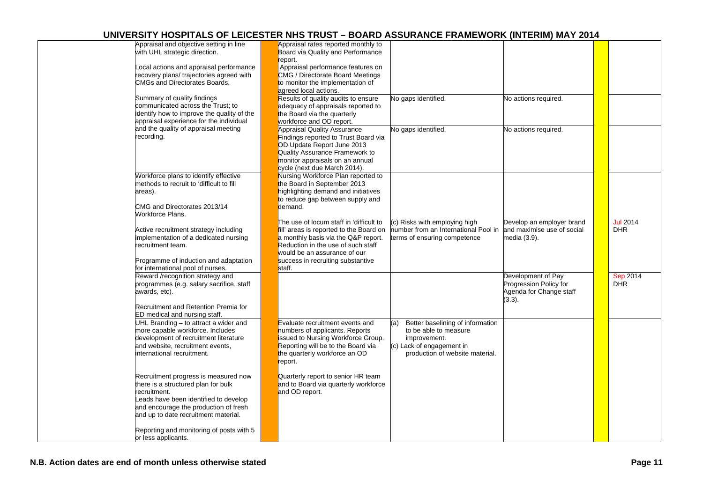| Appraisal and objective setting in line    | Appraisal rates reported monthly to     |                                         |                            |                 |
|--------------------------------------------|-----------------------------------------|-----------------------------------------|----------------------------|-----------------|
| with UHL strategic direction.              | Board via Quality and Performance       |                                         |                            |                 |
|                                            | report.                                 |                                         |                            |                 |
| Local actions and appraisal performance    | Appraisal performance features on       |                                         |                            |                 |
| recovery plans/ trajectories agreed with   | CMG / Directorate Board Meetings        |                                         |                            |                 |
| <b>CMGs and Directorates Boards.</b>       | to monitor the implementation of        |                                         |                            |                 |
|                                            | agreed local actions.                   |                                         |                            |                 |
| Summary of quality findings                | Results of quality audits to ensure     | No gaps identified.                     | No actions required.       |                 |
| communicated across the Trust; to          | adequacy of appraisals reported to      |                                         |                            |                 |
| identify how to improve the quality of the | the Board via the quarterly             |                                         |                            |                 |
| appraisal experience for the individual    | workforce and OD report.                |                                         |                            |                 |
| and the quality of appraisal meeting       | <b>Appraisal Quality Assurance</b>      | No gaps identified.                     | No actions required.       |                 |
| recording.                                 | Findings reported to Trust Board via    |                                         |                            |                 |
|                                            | OD Update Report June 2013              |                                         |                            |                 |
|                                            | Quality Assurance Framework to          |                                         |                            |                 |
|                                            | monitor appraisals on an annual         |                                         |                            |                 |
|                                            | cycle (next due March 2014).            |                                         |                            |                 |
| Workforce plans to identify effective      | Nursing Workforce Plan reported to      |                                         |                            |                 |
| methods to recruit to 'difficult to fill   | the Board in September 2013             |                                         |                            |                 |
| areas).                                    | highlighting demand and initiatives     |                                         |                            |                 |
|                                            | to reduce gap between supply and        |                                         |                            |                 |
| CMG and Directorates 2013/14               | demand.                                 |                                         |                            |                 |
| Workforce Plans.                           |                                         |                                         |                            |                 |
|                                            | The use of locum staff in 'difficult to | (c) Risks with employing high           | Develop an employer brand  | <b>Jul 2014</b> |
| Active recruitment strategy including      | fill' areas is reported to the Board on | number from an International Pool in    | and maximise use of social | <b>DHR</b>      |
| implementation of a dedicated nursing      | a monthly basis via the Q&P report.     | terms of ensuring competence            | media (3.9).               |                 |
| recruitment team.                          | Reduction in the use of such staff      |                                         |                            |                 |
|                                            | would be an assurance of our            |                                         |                            |                 |
|                                            |                                         |                                         |                            |                 |
| Programme of induction and adaptation      | success in recruiting substantive       |                                         |                            |                 |
| for international pool of nurses.          | staff.                                  |                                         |                            |                 |
| Reward /recognition strategy and           |                                         |                                         | Development of Pay         | Sep 2014        |
| programmes (e.g. salary sacrifice, staff   |                                         |                                         | Progression Policy for     | <b>DHR</b>      |
| awards, etc).                              |                                         |                                         | Agenda for Change staff    |                 |
|                                            |                                         |                                         | $(3.3)$ .                  |                 |
| Recruitment and Retention Premia for       |                                         |                                         |                            |                 |
| ED medical and nursing staff.              |                                         |                                         |                            |                 |
| UHL Branding - to attract a wider and      | Evaluate recruitment events and         | Better baselining of information<br>(a) |                            |                 |
| more capable workforce. Includes           | numbers of applicants. Reports          | to be able to measure                   |                            |                 |
| development of recruitment literature      | issued to Nursing Workforce Group.      | improvement.                            |                            |                 |
| and website, recruitment events,           | Reporting will be to the Board via      | (c) Lack of engagement in               |                            |                 |
| international recruitment.                 | the quarterly workforce an OD           | production of website material.         |                            |                 |
|                                            | report.                                 |                                         |                            |                 |
|                                            |                                         |                                         |                            |                 |
| Recruitment progress is measured now       | Quarterly report to senior HR team      |                                         |                            |                 |
| there is a structured plan for bulk        | and to Board via quarterly workforce    |                                         |                            |                 |
| recruitment.                               | and OD report.                          |                                         |                            |                 |
| Leads have been identified to develop      |                                         |                                         |                            |                 |
| and encourage the production of fresh      |                                         |                                         |                            |                 |
| and up to date recruitment material.       |                                         |                                         |                            |                 |
|                                            |                                         |                                         |                            |                 |
| Reporting and monitoring of posts with 5   |                                         |                                         |                            |                 |
| or less applicants.                        |                                         |                                         |                            |                 |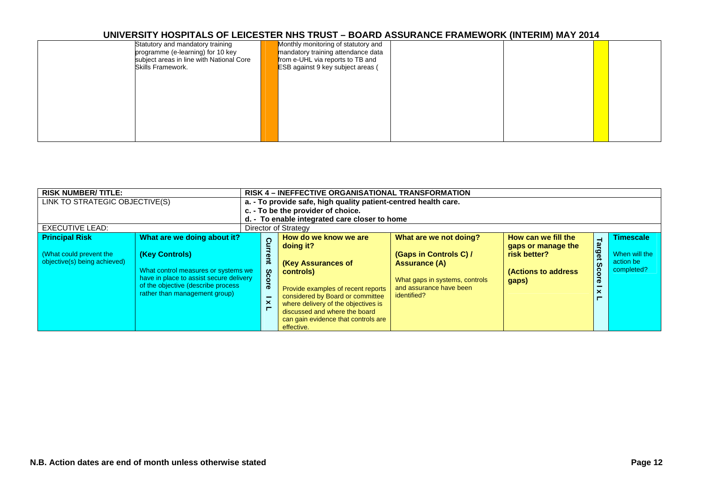| Statutory and mandatory training<br>programme (e-learning) for 10 key<br>subject areas in line with National Core<br>Skills Framework. | Monthly monitoring of statutory and<br>mandatory training attendance data<br>from e-UHL via reports to TB and<br>ESB against 9 key subject areas ( |  |  |  |
|----------------------------------------------------------------------------------------------------------------------------------------|----------------------------------------------------------------------------------------------------------------------------------------------------|--|--|--|
|                                                                                                                                        |                                                                                                                                                    |  |  |  |
|                                                                                                                                        |                                                                                                                                                    |  |  |  |

| <b>RISK NUMBER/TITLE:</b>                                                        |                                                                                                                                                                                                        |                         | <b>RISK 4 – INEFFECTIVE ORGANISATIONAL TRANSFORMATION</b>                                                                                                                                                                                                                           |                                                                                                                                               |                                                                                                  |                                           |                                                              |  |  |  |
|----------------------------------------------------------------------------------|--------------------------------------------------------------------------------------------------------------------------------------------------------------------------------------------------------|-------------------------|-------------------------------------------------------------------------------------------------------------------------------------------------------------------------------------------------------------------------------------------------------------------------------------|-----------------------------------------------------------------------------------------------------------------------------------------------|--------------------------------------------------------------------------------------------------|-------------------------------------------|--------------------------------------------------------------|--|--|--|
| LINK TO STRATEGIC OBJECTIVE(S)<br>EXECUTIVE LEAD:                                |                                                                                                                                                                                                        |                         | a. - To provide safe, high quality patient-centred health care.<br>c. - To be the provider of choice.<br>d. - To enable integrated care closer to home<br>Director of Strategy                                                                                                      |                                                                                                                                               |                                                                                                  |                                           |                                                              |  |  |  |
| <b>Principal Risk</b><br>(What could prevent the<br>objective(s) being achieved) | What are we doing about it?<br>(Key Controls)<br>What control measures or systems we<br>have in place to assist secure delivery<br>of the objective (describe process<br>rather than management group) | Curn<br>ent<br>Sco<br>ā | How do we know we are<br>doing it?<br><b>(Key Assurances of</b><br>controls)<br>Provide examples of recent reports<br>considered by Board or committee<br>where delivery of the objectives is<br>discussed and where the board<br>can gain evidence that controls are<br>effective. | What are we not doing?<br>(Gaps in Controls C) /<br>Assurance (A)<br>What gaps in systems, controls<br>and assurance have been<br>identified? | How can we fill the<br>gaps or manage the<br>risk better?<br><b>(Actions to address</b><br>gaps) | ⊣<br>arge<br>$\boldsymbol{\omega}$<br>ႝဝႝ | <b>Timescale</b><br>When will the<br>action be<br>completed? |  |  |  |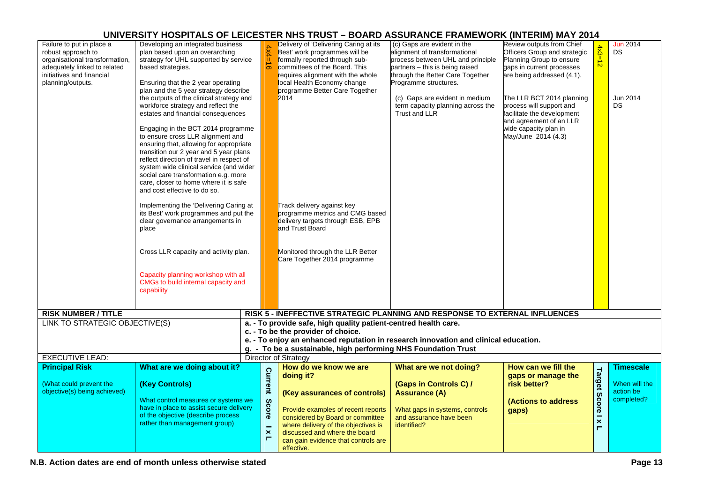| Failure to put in place a<br>robust approach to<br>organisational transformation,<br>adequately linked to related<br>initiatives and financial<br>planning/outputs. | Developing an integrated business<br>plan based upon an overarching<br>strategy for UHL supported by service<br>based strategies.<br>Ensuring that the 2 year operating<br>plan and the 5 year strategy describe<br>the outputs of the clinical strategy and<br>workforce strategy and reflect the<br>estates and financial consequences<br>Engaging in the BCT 2014 programme<br>to ensure cross LLR alignment and<br>ensuring that, allowing for appropriate<br>transition our 2 year and 5 year plans<br>reflect direction of travel in respect of<br>system wide clinical service (and wider<br>social care transformation e.g. more<br>care, closer to home where it is safe<br>and cost effective to do so.<br>Implementing the 'Delivering Caring at<br>its Best' work programmes and put the<br>clear governance arrangements in<br>place<br>Cross LLR capacity and activity plan.<br>Capacity planning workshop with all<br>CMGs to build internal capacity and<br>capability | $4x4=16$                                                             | Delivery of 'Delivering Caring at its<br>Best' work programmes will be<br>formally reported through sub-<br>committees of the Board. This<br>requires alignment with the whole<br>local Health Economy change<br>programme Better Care Together<br>2014<br>Track delivery against key<br>programme metrics and CMG based<br>delivery targets through ESB, EPB<br>and Trust Board<br>Monitored through the LLR Better<br>Care Together 2014 programme | (c) Gaps are evident in the<br>alignment of transformational<br>process between UHL and principle<br>partners - this is being raised<br>through the Better Care Together<br>Programme structures.<br>(c) Gaps are evident in medium<br>term capacity planning across the<br>Trust and LLR | Review outputs from Chief<br>Officers Group and strategic<br>Planning Group to ensure<br>gaps in current processes<br>are being addressed (4.1).<br>The LLR BCT 2014 planning<br>process will support and<br>facilitate the development<br>and agreement of an LLR<br>wide capacity plan in<br>May/June 2014 (4.3) | $4x3=12$                                            | <b>Jun 2014</b><br>DS.<br>Jun 2014<br>DS.                    |
|---------------------------------------------------------------------------------------------------------------------------------------------------------------------|----------------------------------------------------------------------------------------------------------------------------------------------------------------------------------------------------------------------------------------------------------------------------------------------------------------------------------------------------------------------------------------------------------------------------------------------------------------------------------------------------------------------------------------------------------------------------------------------------------------------------------------------------------------------------------------------------------------------------------------------------------------------------------------------------------------------------------------------------------------------------------------------------------------------------------------------------------------------------------------|----------------------------------------------------------------------|------------------------------------------------------------------------------------------------------------------------------------------------------------------------------------------------------------------------------------------------------------------------------------------------------------------------------------------------------------------------------------------------------------------------------------------------------|-------------------------------------------------------------------------------------------------------------------------------------------------------------------------------------------------------------------------------------------------------------------------------------------|--------------------------------------------------------------------------------------------------------------------------------------------------------------------------------------------------------------------------------------------------------------------------------------------------------------------|-----------------------------------------------------|--------------------------------------------------------------|
| <b>RISK NUMBER / TITLE</b>                                                                                                                                          |                                                                                                                                                                                                                                                                                                                                                                                                                                                                                                                                                                                                                                                                                                                                                                                                                                                                                                                                                                                        |                                                                      | RISK 5 - INEFFECTIVE STRATEGIC PLANNING AND RESPONSE TO EXTERNAL INFLUENCES                                                                                                                                                                                                                                                                                                                                                                          |                                                                                                                                                                                                                                                                                           |                                                                                                                                                                                                                                                                                                                    |                                                     |                                                              |
| LINK TO STRATEGIC OBJECTIVE(S)                                                                                                                                      |                                                                                                                                                                                                                                                                                                                                                                                                                                                                                                                                                                                                                                                                                                                                                                                                                                                                                                                                                                                        |                                                                      | a. - To provide safe, high quality patient-centred health care.                                                                                                                                                                                                                                                                                                                                                                                      |                                                                                                                                                                                                                                                                                           |                                                                                                                                                                                                                                                                                                                    |                                                     |                                                              |
|                                                                                                                                                                     |                                                                                                                                                                                                                                                                                                                                                                                                                                                                                                                                                                                                                                                                                                                                                                                                                                                                                                                                                                                        |                                                                      | c. - To be the provider of choice.<br>e. - To enjoy an enhanced reputation in research innovation and clinical education.<br>g. - To be a sustainable, high performing NHS Foundation Trust                                                                                                                                                                                                                                                          |                                                                                                                                                                                                                                                                                           |                                                                                                                                                                                                                                                                                                                    |                                                     |                                                              |
| <b>EXECUTIVE LEAD:</b>                                                                                                                                              |                                                                                                                                                                                                                                                                                                                                                                                                                                                                                                                                                                                                                                                                                                                                                                                                                                                                                                                                                                                        |                                                                      | Director of Strategy                                                                                                                                                                                                                                                                                                                                                                                                                                 |                                                                                                                                                                                                                                                                                           |                                                                                                                                                                                                                                                                                                                    |                                                     |                                                              |
| <b>Principal Risk</b><br>(What could prevent the<br>objective(s) being achieved)                                                                                    | What are we doing about it?<br>(Key Controls)<br>What control measures or systems we<br>have in place to assist secure delivery<br>of the objective (describe process<br>rather than management group)                                                                                                                                                                                                                                                                                                                                                                                                                                                                                                                                                                                                                                                                                                                                                                                 | <b>Current</b><br>Score<br>$\overline{\mathbf{x}}$<br>$\blacksquare$ | How do we know we are<br>doing it?<br>(Key assurances of controls)<br>Provide examples of recent reports<br>considered by Board or committee<br>where delivery of the objectives is<br>discussed and where the board<br>can gain evidence that controls are<br>effective.                                                                                                                                                                            | What are we not doing?<br>(Gaps in Controls C) /<br><b>Assurance (A)</b><br>What gaps in systems, controls<br>and assurance have been<br>identified?                                                                                                                                      | How can we fill the<br>gaps or manage the<br>risk better?<br><b>(Actions to address)</b><br>gaps)                                                                                                                                                                                                                  | <b>Target Score</b><br>$\overline{\mathbf{x}}$<br>Е | <b>Timescale</b><br>When will the<br>action be<br>completed? |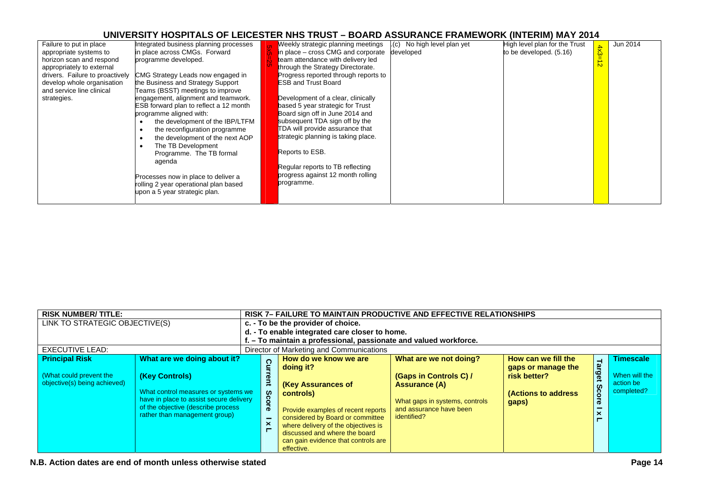| Failure to put in place<br>appropriate systems to<br>horizon scan and respond<br>appropriately to external<br>drivers. Failure to proactively<br>develop whole organisation<br>and service line clinical<br>strategies. | ntegrated business planning processes<br>in place across CMGs. Forward<br>programme developed.<br>CMG Strategy Leads now engaged in<br>the Business and Strategy Support<br>Teams (BSST) meetings to improve<br>engagement, alignment and teamwork.<br><b>ESB</b> forward plan to reflect a 12 month<br>programme aligned with:<br>the development of the IBP/LTFM<br>the reconfiguration programme<br>the development of the next AOP<br>The TB Development | Weekly strategic planning meetings<br>in place – cross CMG and corporate<br>team attendance with delivery led<br>through the Strategy Directorate.<br>Progress reported through reports to<br><b>ESB and Trust Board</b><br>Development of a clear, clinically<br>based 5 year strategic for Trust<br>Board sign off in June 2014 and<br>subsequent TDA sign off by the<br>TDA will provide assurance that<br>strategic planning is taking place.<br>Reports to ESB. | $(c)$ No high level plan yet<br>developed | High level plan for the Trust<br>to be developed. (5.16) | $\frac{4\times3}{5}$ | Jun 2014 |
|-------------------------------------------------------------------------------------------------------------------------------------------------------------------------------------------------------------------------|--------------------------------------------------------------------------------------------------------------------------------------------------------------------------------------------------------------------------------------------------------------------------------------------------------------------------------------------------------------------------------------------------------------------------------------------------------------|----------------------------------------------------------------------------------------------------------------------------------------------------------------------------------------------------------------------------------------------------------------------------------------------------------------------------------------------------------------------------------------------------------------------------------------------------------------------|-------------------------------------------|----------------------------------------------------------|----------------------|----------|
|                                                                                                                                                                                                                         | Programme. The TB formal<br>agenda                                                                                                                                                                                                                                                                                                                                                                                                                           | Regular reports to TB reflecting                                                                                                                                                                                                                                                                                                                                                                                                                                     |                                           |                                                          |                      |          |
|                                                                                                                                                                                                                         | Processes now in place to deliver a<br>rolling 2 year operational plan based<br>upon a 5 year strategic plan.                                                                                                                                                                                                                                                                                                                                                | progress against 12 month rolling<br>programme.                                                                                                                                                                                                                                                                                                                                                                                                                      |                                           |                                                          |                      |          |

| <b>RISK NUMBER/TITLE:</b>                               |                                                                                                                                                                         |                                                         | <b>RISK 7- FAILURE TO MAINTAIN PRODUCTIVE AND EFFECTIVE RELATIONSHIPS</b>                                                                                                                                                                                  |                                                                                                                            |                                                                     |                          |                                          |  |  |  |  |
|---------------------------------------------------------|-------------------------------------------------------------------------------------------------------------------------------------------------------------------------|---------------------------------------------------------|------------------------------------------------------------------------------------------------------------------------------------------------------------------------------------------------------------------------------------------------------------|----------------------------------------------------------------------------------------------------------------------------|---------------------------------------------------------------------|--------------------------|------------------------------------------|--|--|--|--|
| LINK TO STRATEGIC OBJECTIVE(S)                          |                                                                                                                                                                         |                                                         | c. - To be the provider of choice.                                                                                                                                                                                                                         |                                                                                                                            |                                                                     |                          |                                          |  |  |  |  |
|                                                         |                                                                                                                                                                         |                                                         | d. - To enable integrated care closer to home.                                                                                                                                                                                                             |                                                                                                                            |                                                                     |                          |                                          |  |  |  |  |
|                                                         |                                                                                                                                                                         |                                                         | f. - To maintain a professional, passionate and valued workforce.                                                                                                                                                                                          |                                                                                                                            |                                                                     |                          |                                          |  |  |  |  |
| <b>EXECUTIVE LEAD:</b>                                  |                                                                                                                                                                         |                                                         | Director of Marketing and Communications                                                                                                                                                                                                                   |                                                                                                                            |                                                                     |                          |                                          |  |  |  |  |
| <b>Principal Risk</b>                                   | What are we doing about it?                                                                                                                                             |                                                         | How do we know we are                                                                                                                                                                                                                                      | What are we not doing?                                                                                                     | How can we fill the                                                 | $\overline{\phantom{a}}$ | <b>Timescale</b>                         |  |  |  |  |
| (What could prevent the<br>objective(s) being achieved) | (Key Controls)<br>What control measures or systems we<br>have in place to assist secure delivery<br>of the objective (describe process<br>rather than management group) | Cur<br>ent<br><b>S</b><br>$\overline{\mathbf{Q}}$<br>ଚି | doing it?<br><b>(Key Assurances of</b><br>controls)<br>Provide examples of recent reports<br>considered by Board or committee<br>where delivery of the objectives is<br>discussed and where the board<br>can gain evidence that controls are<br>effective. | (Gaps in Controls C) /<br><b>Assurance (A)</b><br>What gaps in systems, controls<br>and assurance have been<br>identified? | gaps or manage the<br>risk better?<br>(Actions to address)<br>gaps) | arge<br>ဖ<br>8           | When will the<br>action be<br>completed? |  |  |  |  |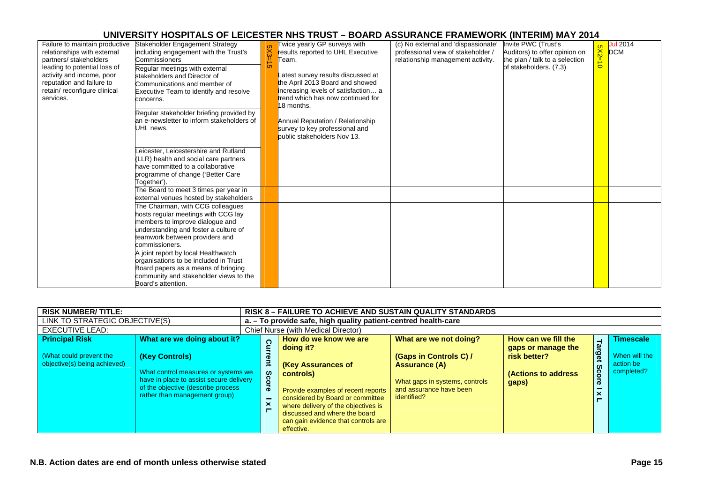| Failure to maintain productive<br>relationships with external<br>partners/ stakeholders<br>leading to potential loss of<br>activity and income, poor<br>reputation and failure to<br>retain/ reconfigure clinical<br>services. | Stakeholder Engagement Strategy<br>including engagement with the Trust's<br>Commissioners<br>Regular meetings with external<br>stakeholders and Director of<br>Communications and member of<br><b>Executive Team to identify and resolve</b><br>concerns.<br>Regular stakeholder briefing provided by<br>an e-newsletter to inform stakeholders of<br>JHL news. | $5X3 =$<br>∸<br><b>CT</b> | Twice yearly GP surveys with<br>results reported to UHL Executive<br>Геаm.<br>Latest survey results discussed at<br>the April 2013 Board and showed<br>increasing levels of satisfaction a<br>trend which has now continued for<br>18 months.<br>Annual Reputation / Relationship<br>survey to key professional and<br>public stakeholders Nov 13. | (c) No external and 'dispassionate'<br>professional view of stakeholder /<br>relationship management activity. | Invite PWC (Trust's<br>Auditors) to offer opinion on<br>the plan / talk to a selection<br>of stakeholders. (7.3) | 2X <sub>2</sub><br>$\rightarrow$<br>$\circ$ | Jul 2014<br><b>DCM</b> |
|--------------------------------------------------------------------------------------------------------------------------------------------------------------------------------------------------------------------------------|-----------------------------------------------------------------------------------------------------------------------------------------------------------------------------------------------------------------------------------------------------------------------------------------------------------------------------------------------------------------|---------------------------|----------------------------------------------------------------------------------------------------------------------------------------------------------------------------------------------------------------------------------------------------------------------------------------------------------------------------------------------------|----------------------------------------------------------------------------------------------------------------|------------------------------------------------------------------------------------------------------------------|---------------------------------------------|------------------------|
|                                                                                                                                                                                                                                | eicester, Leicestershire and Rutland<br>LLR) health and social care partners<br>have committed to a collaborative<br>programme of change ('Better Care<br>Together').<br>The Board to meet 3 times per year in                                                                                                                                                  |                           |                                                                                                                                                                                                                                                                                                                                                    |                                                                                                                |                                                                                                                  |                                             |                        |
|                                                                                                                                                                                                                                | external venues hosted by stakeholders<br>The Chairman, with CCG colleagues<br>hosts regular meetings with CCG lay<br>members to improve dialogue and<br>understanding and foster a culture of<br>teamwork between providers and<br>commissioners.                                                                                                              |                           |                                                                                                                                                                                                                                                                                                                                                    |                                                                                                                |                                                                                                                  |                                             |                        |
|                                                                                                                                                                                                                                | A joint report by local Healthwatch<br>organisations to be included in Trust<br>Board papers as a means of bringing<br>community and stakeholder views to the<br>Board's attention.                                                                                                                                                                             |                           |                                                                                                                                                                                                                                                                                                                                                    |                                                                                                                |                                                                                                                  |                                             |                        |

| <b>RISK NUMBER/TITLE:</b>                                                        |                                                                                                                                                                                                        |                                  | <b>RISK 8 - FAILURE TO ACHIEVE AND SUSTAIN QUALITY STANDARDS</b> |                                                                                                                                                                                                                                                                              |                                                                                                                                               |                                                                                                  |                                               |                                                              |  |  |  |
|----------------------------------------------------------------------------------|--------------------------------------------------------------------------------------------------------------------------------------------------------------------------------------------------------|----------------------------------|------------------------------------------------------------------|------------------------------------------------------------------------------------------------------------------------------------------------------------------------------------------------------------------------------------------------------------------------------|-----------------------------------------------------------------------------------------------------------------------------------------------|--------------------------------------------------------------------------------------------------|-----------------------------------------------|--------------------------------------------------------------|--|--|--|
|                                                                                  | LINK TO STRATEGIC OBJECTIVE(S)                                                                                                                                                                         |                                  | a. - To provide safe, high quality patient-centred health-care   |                                                                                                                                                                                                                                                                              |                                                                                                                                               |                                                                                                  |                                               |                                                              |  |  |  |
| <b>EXECUTIVE LEAD:</b>                                                           |                                                                                                                                                                                                        |                                  | Chief Nurse (with Medical Director)                              |                                                                                                                                                                                                                                                                              |                                                                                                                                               |                                                                                                  |                                               |                                                              |  |  |  |
| <b>Principal Risk</b><br>(What could prevent the<br>objective(s) being achieved) | What are we doing about it?<br>(Key Controls)<br>What control measures or systems we<br>have in place to assist secure delivery<br>of the objective (describe process<br>rather than management group) | $\bar{ }$<br>$\circ$<br>$\sigma$ | റ<br><b>SC</b>                                                   | How do we know we are<br>doing it?<br>(Key Assurances of<br>controls)<br>Provide examples of recent reports<br>considered by Board or committee<br>where delivery of the objectives is<br>discussed and where the board<br>can gain evidence that controls are<br>effective. | What are we not doing?<br>(Gaps in Controls C) /<br>Assurance (A)<br>What gaps in systems, controls<br>and assurance have been<br>identified? | How can we fill the<br>gaps or manage the<br>risk better?<br><b>(Actions to address</b><br>gaps) | Tar<br>ዌ<br>$\boldsymbol{\omega}$<br>cor<br>œ | <b>Timescale</b><br>When will the<br>action be<br>completed? |  |  |  |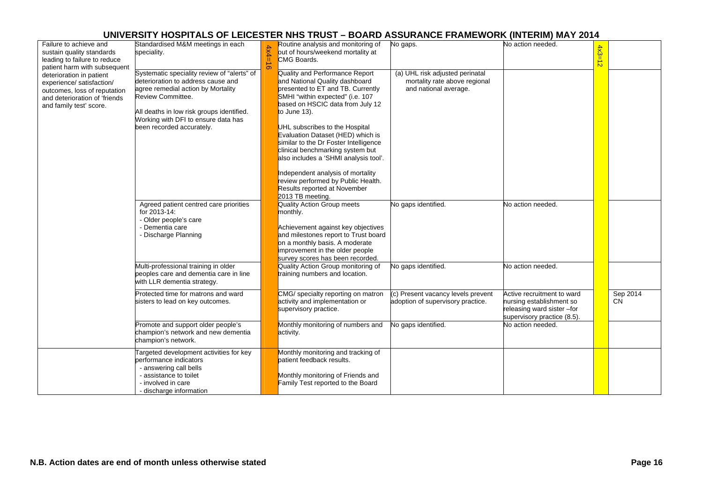| Failure to achieve and<br>sustain quality standards<br>leading to failure to reduce<br>patient harm with subsequent                               | Standardised M&M meetings in each<br>speciality.                                                                                                                                                                                                              | Routine analysis and monitoring of<br>No gaps.<br>No action needed.<br>out of hours/weekend mortality at<br>CMG Boards.<br>$\sigma$                                                                                                                                                                                                                                                                                                                                                                                                                                                                                           | $4x3=12$ |                       |
|---------------------------------------------------------------------------------------------------------------------------------------------------|---------------------------------------------------------------------------------------------------------------------------------------------------------------------------------------------------------------------------------------------------------------|-------------------------------------------------------------------------------------------------------------------------------------------------------------------------------------------------------------------------------------------------------------------------------------------------------------------------------------------------------------------------------------------------------------------------------------------------------------------------------------------------------------------------------------------------------------------------------------------------------------------------------|----------|-----------------------|
| deterioration in patient<br>experience/ satisfaction/<br>outcomes, loss of reputation<br>and deterioration of 'friends<br>and family test' score. | Systematic speciality review of "alerts" of<br>deterioration to address cause and<br>agree remedial action by Mortality<br>Review Committee.<br>All deaths in low risk groups identified.<br>Working with DFI to ensure data has<br>been recorded accurately. | Quality and Performance Report<br>(a) UHL risk adjusted perinatal<br>and National Quality dashboard<br>mortality rate above regional<br>presented to ET and TB. Currently<br>and national average.<br>SMHI "within expected" (i.e. 107<br>based on HSCIC data from July 12<br>to June 13).<br>UHL subscribes to the Hospital<br>Evaluation Dataset (HED) which is<br>similar to the Dr Foster Intelligence<br>clinical benchmarking system but<br>also includes a 'SHMI analysis tool'.<br>Independent analysis of mortality<br>review performed by Public Health.<br><b>Results reported at November</b><br>2013 TB meeting. |          |                       |
|                                                                                                                                                   | Agreed patient centred care priorities<br>for 2013-14:<br>- Older people's care<br>- Dementia care<br>- Discharge Planning                                                                                                                                    | <b>Quality Action Group meets</b><br>No gaps identified.<br>No action needed.<br>monthly.<br>Achievement against key objectives<br>and milestones report to Trust board<br>on a monthly basis. A moderate<br>improvement in the older people<br>survey scores has been recorded.                                                                                                                                                                                                                                                                                                                                              |          |                       |
|                                                                                                                                                   | Multi-professional training in older<br>peoples care and dementia care in line<br>with LLR dementia strategy.                                                                                                                                                 | Quality Action Group monitoring of<br>No gaps identified.<br>No action needed.<br>training numbers and location.                                                                                                                                                                                                                                                                                                                                                                                                                                                                                                              |          |                       |
|                                                                                                                                                   | Protected time for matrons and ward<br>sisters to lead on key outcomes.                                                                                                                                                                                       | CMG/ specialty reporting on matron<br>(c) Present vacancy levels prevent<br>Active recruitment to ward<br>activity and implementation or<br>adoption of supervisory practice.<br>nursing establishment so<br>supervisory practice.<br>releasing ward sister -for<br>supervisory practice (8.5).                                                                                                                                                                                                                                                                                                                               |          | Sep 2014<br><b>CN</b> |
|                                                                                                                                                   | Promote and support older people's<br>champion's network and new dementia<br>champion's network.                                                                                                                                                              | Monthly monitoring of numbers and<br>No gaps identified.<br>No action needed.<br>activity.                                                                                                                                                                                                                                                                                                                                                                                                                                                                                                                                    |          |                       |
|                                                                                                                                                   | Targeted development activities for key<br>performance indicators<br>- answering call bells<br>- assistance to toilet<br>- involved in care<br>- discharge information                                                                                        | Monthly monitoring and tracking of<br>patient feedback results.<br>Monthly monitoring of Friends and<br>Family Test reported to the Board                                                                                                                                                                                                                                                                                                                                                                                                                                                                                     |          |                       |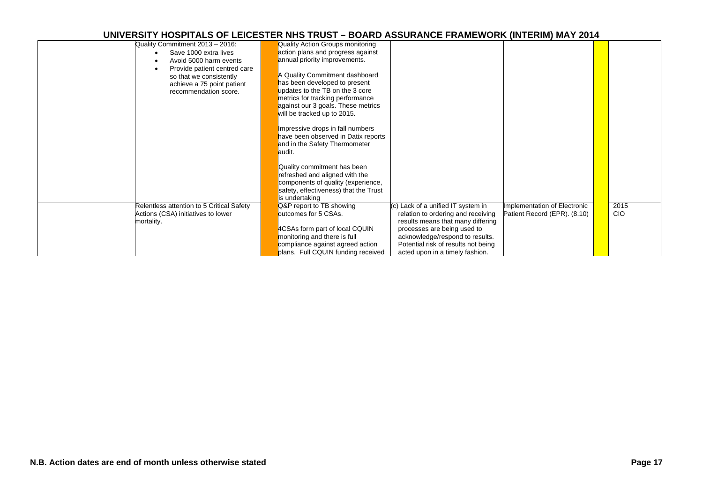| Quality Commitment 2013 - 2016:           | Quality Action Groups monitoring      |                                     |                              |            |
|-------------------------------------------|---------------------------------------|-------------------------------------|------------------------------|------------|
|                                           |                                       |                                     |                              |            |
| Save 1000 extra lives                     | action plans and progress against     |                                     |                              |            |
| Avoid 5000 harm events                    | annual priority improvements.         |                                     |                              |            |
| Provide patient centred care              |                                       |                                     |                              |            |
| so that we consistently                   | Quality Commitment dashboard          |                                     |                              |            |
| achieve a 75 point patient                | has been developed to present         |                                     |                              |            |
| recommendation score.                     | updates to the TB on the 3 core       |                                     |                              |            |
|                                           | metrics for tracking performance      |                                     |                              |            |
|                                           | against our 3 goals. These metrics    |                                     |                              |            |
|                                           | will be tracked up to 2015.           |                                     |                              |            |
|                                           |                                       |                                     |                              |            |
|                                           |                                       |                                     |                              |            |
|                                           | Impressive drops in fall numbers      |                                     |                              |            |
|                                           | have been observed in Datix reports   |                                     |                              |            |
|                                           | and in the Safety Thermometer         |                                     |                              |            |
|                                           | audit.                                |                                     |                              |            |
|                                           |                                       |                                     |                              |            |
|                                           | Quality commitment has been           |                                     |                              |            |
|                                           | refreshed and aligned with the        |                                     |                              |            |
|                                           | components of quality (experience,    |                                     |                              |            |
|                                           |                                       |                                     |                              |            |
|                                           | safety, effectiveness) that the Trust |                                     |                              |            |
|                                           | is undertaking                        |                                     |                              |            |
| Relentless attention to 5 Critical Safety | Q&P report to TB showing              | (c) Lack of a unified IT system in  | Implementation of Electronic | 2015       |
| Actions (CSA) initiatives to lower        | outcomes for 5 CSAs.                  | relation to ordering and receiving  | Patient Record (EPR). (8.10) | <b>CIO</b> |
| mortality.                                |                                       | results means that many differing   |                              |            |
|                                           | 4CSAs form part of local CQUIN        | processes are being used to         |                              |            |
|                                           | monitoring and there is full          | acknowledge/respond to results.     |                              |            |
|                                           | compliance against agreed action      | Potential risk of results not being |                              |            |
|                                           |                                       |                                     |                              |            |
|                                           | plans. Full CQUIN funding received    | acted upon in a timely fashion.     |                              |            |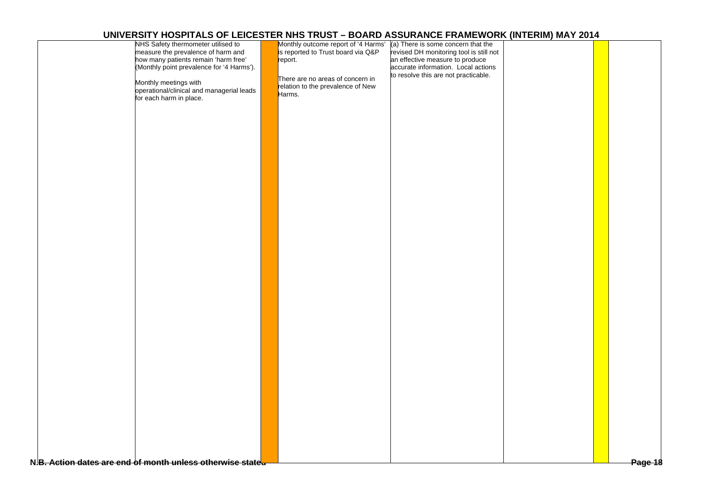| NHS Safety thermometer utilised to                         | Monthly outcome report of '4 Harms' | (a) There is some concern that the      |  |         |
|------------------------------------------------------------|-------------------------------------|-----------------------------------------|--|---------|
| measure the prevalence of harm and                         | is reported to Trust board via Q&P  | revised DH monitoring tool is still not |  |         |
| how many patients remain 'harm free'                       | report.                             | an effective measure to produce         |  |         |
| (Monthly point prevalence for '4 Harms').                  |                                     | accurate information. Local actions     |  |         |
|                                                            |                                     |                                         |  |         |
|                                                            | There are no areas of concern in    | to resolve this are not practicable.    |  |         |
| Monthly meetings with                                      | relation to the prevalence of New   |                                         |  |         |
| operational/clinical and managerial leads                  | Harms.                              |                                         |  |         |
| for each harm in place.                                    |                                     |                                         |  |         |
|                                                            |                                     |                                         |  |         |
|                                                            |                                     |                                         |  |         |
|                                                            |                                     |                                         |  |         |
|                                                            |                                     |                                         |  |         |
|                                                            |                                     |                                         |  |         |
|                                                            |                                     |                                         |  |         |
|                                                            |                                     |                                         |  |         |
|                                                            |                                     |                                         |  |         |
|                                                            |                                     |                                         |  |         |
|                                                            |                                     |                                         |  |         |
|                                                            |                                     |                                         |  |         |
|                                                            |                                     |                                         |  |         |
|                                                            |                                     |                                         |  |         |
|                                                            |                                     |                                         |  |         |
|                                                            |                                     |                                         |  |         |
|                                                            |                                     |                                         |  |         |
|                                                            |                                     |                                         |  |         |
|                                                            |                                     |                                         |  |         |
|                                                            |                                     |                                         |  |         |
|                                                            |                                     |                                         |  |         |
|                                                            |                                     |                                         |  |         |
|                                                            |                                     |                                         |  |         |
|                                                            |                                     |                                         |  |         |
|                                                            |                                     |                                         |  |         |
|                                                            |                                     |                                         |  |         |
|                                                            |                                     |                                         |  |         |
|                                                            |                                     |                                         |  |         |
|                                                            |                                     |                                         |  |         |
|                                                            |                                     |                                         |  |         |
|                                                            |                                     |                                         |  |         |
|                                                            |                                     |                                         |  |         |
|                                                            |                                     |                                         |  |         |
|                                                            |                                     |                                         |  |         |
|                                                            |                                     |                                         |  |         |
|                                                            |                                     |                                         |  |         |
|                                                            |                                     |                                         |  |         |
|                                                            |                                     |                                         |  |         |
|                                                            |                                     |                                         |  |         |
|                                                            |                                     |                                         |  |         |
|                                                            |                                     |                                         |  |         |
|                                                            |                                     |                                         |  |         |
|                                                            |                                     |                                         |  |         |
|                                                            |                                     |                                         |  |         |
|                                                            |                                     |                                         |  |         |
|                                                            |                                     |                                         |  |         |
|                                                            |                                     |                                         |  |         |
|                                                            |                                     |                                         |  |         |
|                                                            |                                     |                                         |  |         |
|                                                            |                                     |                                         |  |         |
|                                                            |                                     |                                         |  |         |
|                                                            |                                     |                                         |  |         |
|                                                            |                                     |                                         |  |         |
| N.B. Action dates are end of month unless otherwise stated |                                     |                                         |  | Page 18 |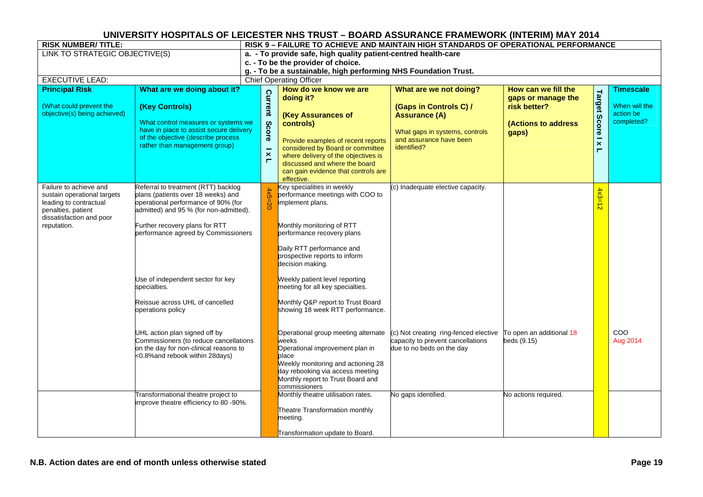| <b>RISK NUMBER/TITLE:</b>                                                                                                                        |                                                                                                                                                                                                                                     | RISK 9 - FAILURE TO ACHIEVE AND MAINTAIN HIGH STANDARDS OF OPERATIONAL PERFORMANCE                |                                                                                                                                                                                                                                                                              |                                                                                                                                                      |                                                                                           |                                       |                                                              |  |  |  |  |
|--------------------------------------------------------------------------------------------------------------------------------------------------|-------------------------------------------------------------------------------------------------------------------------------------------------------------------------------------------------------------------------------------|---------------------------------------------------------------------------------------------------|------------------------------------------------------------------------------------------------------------------------------------------------------------------------------------------------------------------------------------------------------------------------------|------------------------------------------------------------------------------------------------------------------------------------------------------|-------------------------------------------------------------------------------------------|---------------------------------------|--------------------------------------------------------------|--|--|--|--|
| LINK TO STRATEGIC OBJECTIVE(S)                                                                                                                   |                                                                                                                                                                                                                                     | a. - To provide safe, high quality patient-centred health-care                                    |                                                                                                                                                                                                                                                                              |                                                                                                                                                      |                                                                                           |                                       |                                                              |  |  |  |  |
|                                                                                                                                                  |                                                                                                                                                                                                                                     | c. - To be the provider of choice.                                                                |                                                                                                                                                                                                                                                                              |                                                                                                                                                      |                                                                                           |                                       |                                                              |  |  |  |  |
|                                                                                                                                                  |                                                                                                                                                                                                                                     | g. - To be a sustainable, high performing NHS Foundation Trust.<br><b>Chief Operating Officer</b> |                                                                                                                                                                                                                                                                              |                                                                                                                                                      |                                                                                           |                                       |                                                              |  |  |  |  |
| <b>EXECUTIVE LEAD:</b><br><b>Principal Risk</b>                                                                                                  | What are we doing about it?                                                                                                                                                                                                         |                                                                                                   |                                                                                                                                                                                                                                                                              |                                                                                                                                                      |                                                                                           |                                       |                                                              |  |  |  |  |
| (What could prevent the<br>objective(s) being achieved)                                                                                          | (Key Controls)<br>What control measures or systems we<br>have in place to assist secure delivery<br>of the objective (describe process<br>rather than management group)                                                             | Current<br>Score<br>$\times$<br>$\blacksquare$                                                    | How do we know we are<br>doing it?<br>(Key Assurances of<br>controls)<br>Provide examples of recent reports<br>considered by Board or committee<br>where delivery of the objectives is<br>discussed and where the board<br>can gain evidence that controls are<br>effective. | What are we not doing?<br>(Gaps in Controls C) /<br><b>Assurance (A)</b><br>What gaps in systems, controls<br>and assurance have been<br>identified? | How can we fill the<br>gaps or manage the<br>risk better?<br>(Actions to address<br>gaps) | Target<br>Score<br>$\frac{1}{x}$<br>Н | <b>Timescale</b><br>When will the<br>action be<br>completed? |  |  |  |  |
| Failure to achieve and<br>sustain operational targets<br>leading to contractual<br>penalties, patient<br>dissatisfaction and poor<br>reputation. | Referral to treatment (RTT) backlog<br>plans (patients over 18 weeks) and<br>operational performance of 90% (for<br>admitted) and 95 % (for non-admitted).<br>Further recovery plans for RTT<br>performance agreed by Commissioners | $x5=20$                                                                                           | Key specialities in weekly<br>performance meetings with COO to<br>implement plans.<br>Monthly monitoring of RTT<br>performance recovery plans<br>Daily RTT performance and<br>prospective reports to inform<br>decision making.                                              | (c) Inadequate elective capacity.                                                                                                                    |                                                                                           | $4x3 =$<br>$\frac{1}{\infty}$         |                                                              |  |  |  |  |
|                                                                                                                                                  | Use of independent sector for key<br>specialties.<br>Reissue across UHL of cancelled<br>operations policy                                                                                                                           |                                                                                                   | Weekly patient level reporting<br>meeting for all key specialties.<br>Monthly Q&P report to Trust Board<br>showing 18 week RTT performance.                                                                                                                                  |                                                                                                                                                      |                                                                                           |                                       |                                                              |  |  |  |  |
|                                                                                                                                                  | UHL action plan signed off by<br>Commissioners (to reduce cancellations<br>on the day for non-clinical reasons to<br><0.8% and rebook within 28 days)                                                                               |                                                                                                   | Operational group meeting alternate<br>weeks<br>Operational improvement plan in<br>place<br>Weekly monitoring and actioning 28<br>day rebooking via access meeting<br>Monthly report to Trust Board and<br>commissioners                                                     | (c) Not creating ring-fenced elective<br>capacity to prevent cancellations<br>due to no beds on the day                                              | To open an additional 18<br>beds (9.15)                                                   |                                       | <b>COO</b><br>Aug 2014                                       |  |  |  |  |
|                                                                                                                                                  | Transformational theatre project to<br>improve theatre efficiency to 80 -90%.                                                                                                                                                       |                                                                                                   | Monthly theatre utilisation rates.<br>Theatre Transformation monthly<br>meeting.<br>Transformation update to Board.                                                                                                                                                          | No gaps identified.                                                                                                                                  | No actions required.                                                                      |                                       |                                                              |  |  |  |  |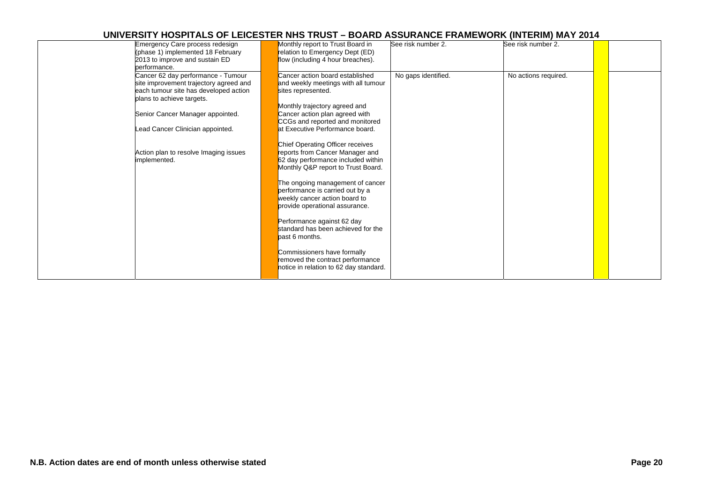| Emergency Care process redesign        | Monthly report to Trust Board in       | See risk number 2.  | See risk number 2.   |  |
|----------------------------------------|----------------------------------------|---------------------|----------------------|--|
| (phase 1) implemented 18 February      | relation to Emergency Dept (ED)        |                     |                      |  |
| 2013 to improve and sustain ED         | flow (including 4 hour breaches).      |                     |                      |  |
| performance.                           |                                        |                     |                      |  |
| Cancer 62 day performance - Tumour     | Cancer action board established        | No gaps identified. | No actions required. |  |
| site improvement trajectory agreed and | and weekly meetings with all tumour    |                     |                      |  |
| each tumour site has developed action  | sites represented.                     |                     |                      |  |
| plans to achieve targets.              |                                        |                     |                      |  |
|                                        | Monthly trajectory agreed and          |                     |                      |  |
| Senior Cancer Manager appointed.       | Cancer action plan agreed with         |                     |                      |  |
|                                        | CCGs and reported and monitored        |                     |                      |  |
|                                        | at Executive Performance board.        |                     |                      |  |
| Lead Cancer Clinician appointed.       |                                        |                     |                      |  |
|                                        |                                        |                     |                      |  |
|                                        | Chief Operating Officer receives       |                     |                      |  |
| Action plan to resolve Imaging issues  | reports from Cancer Manager and        |                     |                      |  |
| implemented.                           | 62 day performance included within     |                     |                      |  |
|                                        | Monthly Q&P report to Trust Board.     |                     |                      |  |
|                                        |                                        |                     |                      |  |
|                                        | The ongoing management of cancer       |                     |                      |  |
|                                        | performance is carried out by a        |                     |                      |  |
|                                        | weekly cancer action board to          |                     |                      |  |
|                                        | provide operational assurance.         |                     |                      |  |
|                                        |                                        |                     |                      |  |
|                                        | Performance against 62 day             |                     |                      |  |
|                                        | standard has been achieved for the     |                     |                      |  |
|                                        | bast 6 months.                         |                     |                      |  |
|                                        |                                        |                     |                      |  |
|                                        | Commissioners have formally            |                     |                      |  |
|                                        | removed the contract performance       |                     |                      |  |
|                                        | notice in relation to 62 day standard. |                     |                      |  |
|                                        |                                        |                     |                      |  |
|                                        |                                        |                     |                      |  |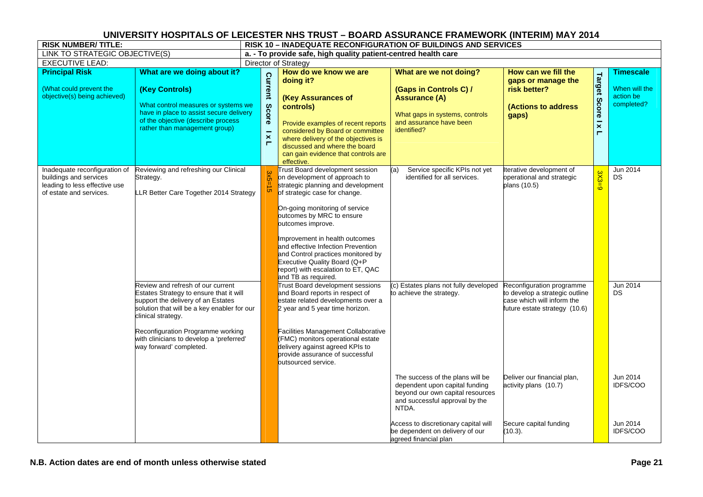| <b>RISK NUMBER/TITLE:</b>                                                                                           |                                                                                                                                                                                                                                                                                                     | <b>RISK 10 - INADEQUATE RECONFIGURATION OF BUILDINGS AND SERVICES</b> |                                                       |                                                                                                                                                                                                                                                                                                                                                                                                                                        |                                                                                                                                                                                                                                                       |                                                                                                                            |                                    |                                                              |  |  |  |
|---------------------------------------------------------------------------------------------------------------------|-----------------------------------------------------------------------------------------------------------------------------------------------------------------------------------------------------------------------------------------------------------------------------------------------------|-----------------------------------------------------------------------|-------------------------------------------------------|----------------------------------------------------------------------------------------------------------------------------------------------------------------------------------------------------------------------------------------------------------------------------------------------------------------------------------------------------------------------------------------------------------------------------------------|-------------------------------------------------------------------------------------------------------------------------------------------------------------------------------------------------------------------------------------------------------|----------------------------------------------------------------------------------------------------------------------------|------------------------------------|--------------------------------------------------------------|--|--|--|
| LINK TO STRATEGIC OBJECTIVE(S)                                                                                      |                                                                                                                                                                                                                                                                                                     | a. - To provide safe, high quality patient-centred health care        |                                                       |                                                                                                                                                                                                                                                                                                                                                                                                                                        |                                                                                                                                                                                                                                                       |                                                                                                                            |                                    |                                                              |  |  |  |
| <b>EXECUTIVE LEAD:</b>                                                                                              |                                                                                                                                                                                                                                                                                                     |                                                                       |                                                       | Director of Strategy                                                                                                                                                                                                                                                                                                                                                                                                                   |                                                                                                                                                                                                                                                       |                                                                                                                            |                                    |                                                              |  |  |  |
| <b>Principal Risk</b><br>(What could prevent the<br>objective(s) being achieved)                                    | What are we doing about it?<br>(Key Controls)<br>What control measures or systems we<br>have in place to assist secure delivery<br>of the objective (describe process<br>rather than management group)                                                                                              |                                                                       | Current<br>Score<br>$\boldsymbol{\times}$<br>$\Gamma$ | How do we know we are<br>doing it?<br>(Key Assurances of<br>controls)<br>Provide examples of recent reports<br>considered by Board or committee<br>where delivery of the objectives is<br>discussed and where the board<br>can gain evidence that controls are<br>effective.                                                                                                                                                           | What are we not doing?<br>(Gaps in Controls C) /<br><b>Assurance (A)</b><br>What gaps in systems, controls<br>and assurance have been<br>identified?                                                                                                  | How can we fill the<br>gaps or manage the<br>risk better?<br>(Actions to address<br>gaps)                                  | Target Score   x<br>$\blacksquare$ | <b>Timescale</b><br>When will the<br>action be<br>completed? |  |  |  |
| Inadequate reconfiguration of<br>buildings and services<br>leading to less effective use<br>of estate and services. | Reviewing and refreshing our Clinical<br>Strategy.<br>LLR Better Care Together 2014 Strategy                                                                                                                                                                                                        |                                                                       | $3x5 =$<br>$\ddot{a}$                                 | Trust Board development session<br>on development of approach to<br>strategic planning and development<br>of strategic case for change.<br>On-going monitoring of service<br>outcomes by MRC to ensure<br>outcomes improve.<br>Improvement in health outcomes<br>and effective Infection Prevention<br>and Control practices monitored by<br>Executive Quality Board (Q+P<br>report) with escalation to ET, QAC<br>and TB as required. | Service specific KPIs not yet<br>identified for all services.                                                                                                                                                                                         | Iterative development of<br>operational and strategic<br>plans (10.5)                                                      | $3X3=9$                            | Jun 2014<br><b>DS</b>                                        |  |  |  |
|                                                                                                                     | Review and refresh of our current<br>Estates Strategy to ensure that it will<br>support the delivery of an Estates<br>solution that will be a key enabler for our<br>clinical strategy.<br>Reconfiguration Programme working<br>with clinicians to develop a 'preferred'<br>way forward' completed. |                                                                       |                                                       | Trust Board development sessions<br>and Board reports in respect of<br>estate related developments over a<br>2 year and 5 year time horizon.<br><b>Facilities Management Collaborative</b><br>(FMC) monitors operational estate<br>delivery against agreed KPIs to<br>provide assurance of successful<br>outsourced service.                                                                                                           | (c) Estates plans not fully developed<br>to achieve the strategy.                                                                                                                                                                                     | Reconfiguration programme<br>to develop a strategic outline<br>case which will inform the<br>future estate strategy (10.6) |                                    | Jun 2014<br>DS                                               |  |  |  |
|                                                                                                                     |                                                                                                                                                                                                                                                                                                     |                                                                       |                                                       |                                                                                                                                                                                                                                                                                                                                                                                                                                        | The success of the plans will be<br>dependent upon capital funding<br>beyond our own capital resources<br>and successful approval by the<br>NTDA.<br>Access to discretionary capital will<br>be dependent on delivery of our<br>agreed financial plan | Deliver our financial plan,<br>activity plans (10.7)<br>Secure capital funding<br>(10.3).                                  |                                    | Jun 2014<br>IDFS/COO<br>Jun 2014<br>IDFS/COO                 |  |  |  |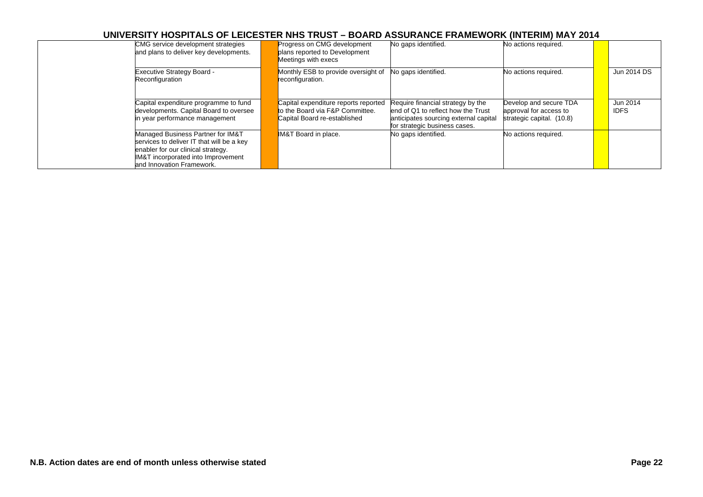| CMG service development strategies<br>and plans to deliver key developments.                                                                                                            | Progress on CMG development<br>plans reported to Development<br>Meetings with execs                     | No gaps identified.                                                                                                                                | No actions required.                                                          |                         |
|-----------------------------------------------------------------------------------------------------------------------------------------------------------------------------------------|---------------------------------------------------------------------------------------------------------|----------------------------------------------------------------------------------------------------------------------------------------------------|-------------------------------------------------------------------------------|-------------------------|
| <b>Executive Strategy Board -</b><br>Reconfiguration                                                                                                                                    | Monthly ESB to provide oversight of<br>reconfiguration.                                                 | No gaps identified.                                                                                                                                | No actions required.                                                          | Jun 2014 DS             |
| Capital expenditure programme to fund<br>developments. Capital Board to oversee<br>in year performance management                                                                       | Capital expenditure reports reported<br>to the Board via F&P Committee.<br>Capital Board re-established | Require financial strategy by the<br>lend of Q1 to reflect how the Trust<br>anticipates sourcing external capital<br>for strategic business cases. | Develop and secure TDA<br>approval for access to<br>strategic capital. (10.8) | Jun 2014<br><b>IDFS</b> |
| Managed Business Partner for IM&T<br>services to deliver IT that will be a key<br>enabler for our clinical strategy.<br>IM&T incorporated into Improvement<br>and Innovation Framework. | <b>IM&amp;T</b> Board in place.                                                                         | No gaps identified.                                                                                                                                | No actions required.                                                          |                         |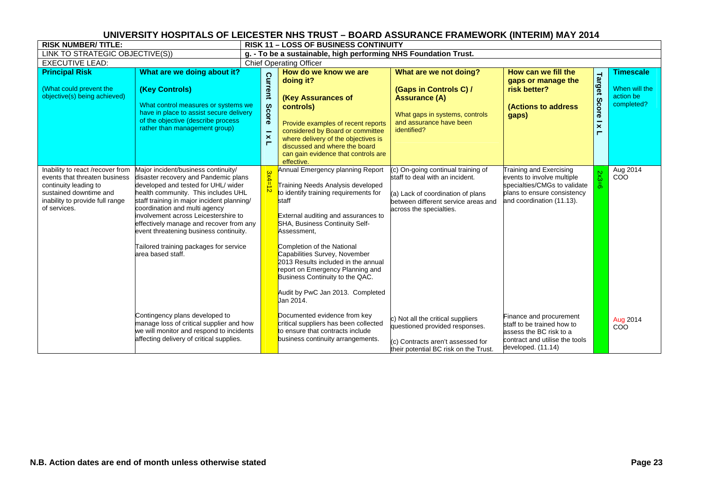| <b>RISK NUMBER/TITLE:</b>                                                                                                                                               |                                                                                                                                                                                                                                                                                                                                                                                                                                      |  | <b>RISK 11 - LOSS OF BUSINESS CONTINUITY</b>                     |                                                                                                                                                                                                                                                                                                                                                                                                                                               |                                                                                                                                                                              |                                                                                                                                                   |                                       |                                          |  |  |  |
|-------------------------------------------------------------------------------------------------------------------------------------------------------------------------|--------------------------------------------------------------------------------------------------------------------------------------------------------------------------------------------------------------------------------------------------------------------------------------------------------------------------------------------------------------------------------------------------------------------------------------|--|------------------------------------------------------------------|-----------------------------------------------------------------------------------------------------------------------------------------------------------------------------------------------------------------------------------------------------------------------------------------------------------------------------------------------------------------------------------------------------------------------------------------------|------------------------------------------------------------------------------------------------------------------------------------------------------------------------------|---------------------------------------------------------------------------------------------------------------------------------------------------|---------------------------------------|------------------------------------------|--|--|--|
| LINK TO STRATEGIC OBJECTIVE(S))                                                                                                                                         |                                                                                                                                                                                                                                                                                                                                                                                                                                      |  | g. - To be a sustainable, high performing NHS Foundation Trust.  |                                                                                                                                                                                                                                                                                                                                                                                                                                               |                                                                                                                                                                              |                                                                                                                                                   |                                       |                                          |  |  |  |
| <b>EXECUTIVE LEAD:</b>                                                                                                                                                  |                                                                                                                                                                                                                                                                                                                                                                                                                                      |  | <b>Chief Operating Officer</b>                                   |                                                                                                                                                                                                                                                                                                                                                                                                                                               |                                                                                                                                                                              |                                                                                                                                                   |                                       |                                          |  |  |  |
| <b>Principal Risk</b>                                                                                                                                                   | What are we doing about it?                                                                                                                                                                                                                                                                                                                                                                                                          |  |                                                                  | How do we know we are<br>doing it?                                                                                                                                                                                                                                                                                                                                                                                                            | What are we not doing?                                                                                                                                                       | How can we fill the<br>gaps or manage the                                                                                                         | <b>Target</b>                         | <b>Timescale</b>                         |  |  |  |
| (What could prevent the<br>objective(s) being achieved)                                                                                                                 | (Key Controls)<br>What control measures or systems we<br>have in place to assist secure delivery<br>of the objective (describe process<br>rather than management group)                                                                                                                                                                                                                                                              |  | Current<br>Score<br>۰<br>$\boldsymbol{\times}$<br>$\blacksquare$ | (Key Assurances of<br>controls)<br>Provide examples of recent reports<br>considered by Board or committee<br>where delivery of the objectives is<br>discussed and where the board<br>can gain evidence that controls are<br>effective.                                                                                                                                                                                                        | (Gaps in Controls C) /<br><b>Assurance (A)</b><br>What gaps in systems, controls<br>and assurance have been<br>identified?                                                   | risk better?<br><b>(Actions to address</b><br>gaps)                                                                                               | <b>Score</b><br>$\boldsymbol{\times}$ | When will the<br>action be<br>completed? |  |  |  |
| Inability to react /recover from<br>events that threaten business<br>continuity leading to<br>sustained downtime and<br>inability to provide full range<br>of services. | Major incident/business continuity/<br>disaster recovery and Pandemic plans<br>developed and tested for UHL/ wider<br>health community. This includes UHL<br>staff training in major incident planning/<br>coordination and multi agency<br>involvement across Leicestershire to<br>effectively manage and recover from any<br>event threatening business continuity.<br>Tailored training packages for service<br>area based staff. |  | <b>3x4</b>                                                       | Annual Emergency planning Report<br>Training Needs Analysis developed<br>to identify training requirements for<br>staff<br>External auditing and assurances to<br>SHA, Business Continuity Self-<br>Assessment,<br>Completion of the National<br>Capabilities Survey, November<br>2013 Results included in the annual<br>report on Emergency Planning and<br>Business Continuity to the QAC.<br>Audit by PwC Jan 2013. Completed<br>Jan 2014. | (c) On-going continual training of<br>staff to deal with an incident.<br>(a) Lack of coordination of plans<br>between different service areas and<br>across the specialties. | Training and Exercising<br>events to involve multiple<br>specialties/CMGs to validate<br>plans to ensure consistency<br>and coordination (11.13). | $2x3 =$<br>ö                          | Aug 2014<br>COO                          |  |  |  |
|                                                                                                                                                                         | Contingency plans developed to<br>manage loss of critical supplier and how<br>we will monitor and respond to incidents<br>affecting delivery of critical supplies.                                                                                                                                                                                                                                                                   |  |                                                                  | Documented evidence from key<br>critical suppliers has been collected<br>to ensure that contracts include<br>business continuity arrangements.                                                                                                                                                                                                                                                                                                | c) Not all the critical suppliers<br>questioned provided responses.<br>(c) Contracts aren't assessed for<br>their potential BC risk on the Trust.                            | Finance and procurement<br>staff to be trained how to<br>assess the BC risk to a<br>contract and utilise the tools<br>developed. (11.14)          |                                       | Aug 2014<br>COO                          |  |  |  |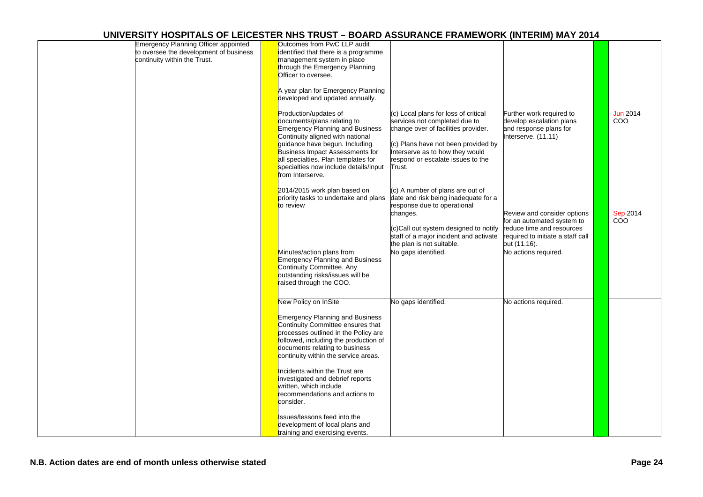| <b>Emergency Planning Officer appointed</b><br>to oversee the development of business<br>continuity within the Trust. | Outcomes from PwC LLP audit<br>identified that there is a programme<br>management system in place<br>through the Emergency Planning<br>Officer to oversee.                                                                                                                                                                                                                                                                                                                                                                                                                                                                                                                                                                                                              |
|-----------------------------------------------------------------------------------------------------------------------|-------------------------------------------------------------------------------------------------------------------------------------------------------------------------------------------------------------------------------------------------------------------------------------------------------------------------------------------------------------------------------------------------------------------------------------------------------------------------------------------------------------------------------------------------------------------------------------------------------------------------------------------------------------------------------------------------------------------------------------------------------------------------|
|                                                                                                                       | A year plan for Emergency Planning<br>developed and updated annually.<br><b>Jun 2014</b><br>Production/updates of<br>(c) Local plans for loss of critical<br>Further work required to<br>COO<br>documents/plans relating to<br>services not completed due to<br>develop escalation plans<br><b>Emergency Planning and Business</b><br>change over of facilities provider.<br>and response plans for<br>Continuity aligned with national<br>Interserve. (11.11)<br>guidance have begun. Including<br>(c) Plans have not been provided by<br><b>Business Impact Assessments for</b><br>Interserve as to how they would<br>all specialties. Plan templates for<br>respond or escalate issues to the<br>specialties now include details/input<br>Trust.<br>from Interserve. |
|                                                                                                                       | 2014/2015 work plan based on<br>(c) A number of plans are out of<br>priority tasks to undertake and plans<br>date and risk being inadequate for a<br>to review<br>response due to operational<br>Review and consider options<br><b>Sep 2014</b><br>changes.<br><b>COO</b><br>for an automated system to<br>(c)Call out system designed to notify<br>reduce time and resources<br>staff of a major incident and activate<br>required to initiate a staff call<br>the plan is not suitable.<br>out (11.16).                                                                                                                                                                                                                                                               |
|                                                                                                                       | No actions required.<br>Minutes/action plans from<br>No gaps identified.<br><b>Emergency Planning and Business</b><br>Continuity Committee. Any<br>outstanding risks/issues will be<br>raised through the COO.                                                                                                                                                                                                                                                                                                                                                                                                                                                                                                                                                          |
|                                                                                                                       | New Policy on InSite<br>No gaps identified.<br>No actions required.<br><b>Emergency Planning and Business</b><br>Continuity Committee ensures that<br>processes outlined in the Policy are<br>followed, including the production of<br>documents relating to business<br>continuity within the service areas.                                                                                                                                                                                                                                                                                                                                                                                                                                                           |
|                                                                                                                       | Incidents within the Trust are<br>investigated and debrief reports<br>written, which include<br>recommendations and actions to<br>consider.<br>Issues/lessons feed into the<br>development of local plans and<br>training and exercising events.                                                                                                                                                                                                                                                                                                                                                                                                                                                                                                                        |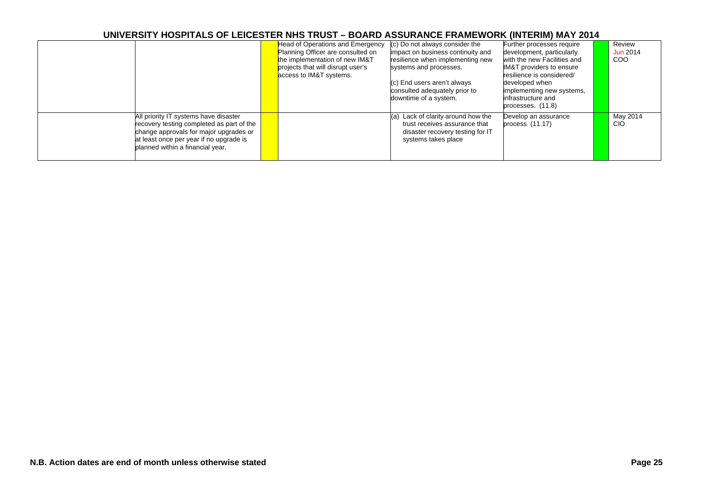|                                                                                                                                                                                                             | Head of Operations and Emergency<br>Planning Officer are consulted on<br>the implementation of new IM&T<br>projects that will disrupt user's<br>access to IM&T systems. | (c) Do not always consider the<br>impact on business continuity and<br>resilience when implementing new<br>systems and processes.<br>(c) End users aren't always | Further processes require<br>development, particularly<br>with the new Facilities and<br><b>IM&amp;T</b> providers to ensure<br>resilience is considered/<br>developed when | Review<br>Jun 2014<br><b>COO</b> |
|-------------------------------------------------------------------------------------------------------------------------------------------------------------------------------------------------------------|-------------------------------------------------------------------------------------------------------------------------------------------------------------------------|------------------------------------------------------------------------------------------------------------------------------------------------------------------|-----------------------------------------------------------------------------------------------------------------------------------------------------------------------------|----------------------------------|
|                                                                                                                                                                                                             |                                                                                                                                                                         | consulted adequately prior to<br>downtime of a system.                                                                                                           | implementing new systems,<br>infrastructure and<br>processes. (11.8)                                                                                                        |                                  |
| All priority IT systems have disaster<br>recovery testing completed as part of the<br>change approvals for major upgrades or<br>at least once per year if no upgrade is<br>planned within a financial year. |                                                                                                                                                                         | (a) Lack of clarity around how the<br>trust receives assurance that<br>disaster recovery testing for IT<br>systems takes place                                   | Develop an assurance<br>process $(11.17)$                                                                                                                                   | May 2014<br>CIO                  |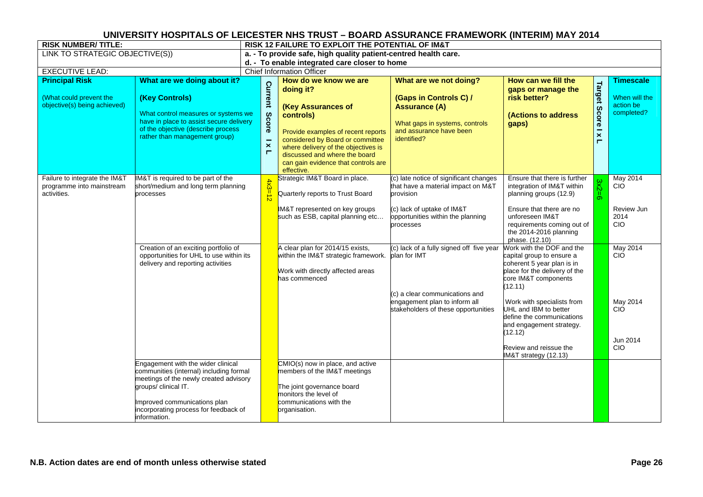| <b>RISK NUMBER/TITLE:</b>                                                 |                                                                                                                                                                                 | RISK 12 FAILURE TO EXPLOIT THE POTENTIAL OF IM&T                                        |                                                                                                                                                                                                                                                     |                                                                                                                            |                                                                                                                                                          |                       |                                          |  |  |  |  |
|---------------------------------------------------------------------------|---------------------------------------------------------------------------------------------------------------------------------------------------------------------------------|-----------------------------------------------------------------------------------------|-----------------------------------------------------------------------------------------------------------------------------------------------------------------------------------------------------------------------------------------------------|----------------------------------------------------------------------------------------------------------------------------|----------------------------------------------------------------------------------------------------------------------------------------------------------|-----------------------|------------------------------------------|--|--|--|--|
| LINK TO STRATEGIC OBJECTIVE(S))                                           |                                                                                                                                                                                 | a. - To provide safe, high quality patient-centred health care.                         |                                                                                                                                                                                                                                                     |                                                                                                                            |                                                                                                                                                          |                       |                                          |  |  |  |  |
|                                                                           |                                                                                                                                                                                 | d. - To enable integrated care closer to home                                           |                                                                                                                                                                                                                                                     |                                                                                                                            |                                                                                                                                                          |                       |                                          |  |  |  |  |
| <b>EXECUTIVE LEAD:</b>                                                    |                                                                                                                                                                                 | <b>Chief Information Officer</b>                                                        |                                                                                                                                                                                                                                                     |                                                                                                                            |                                                                                                                                                          |                       |                                          |  |  |  |  |
| <b>Principal Risk</b>                                                     | What are we doing about it?                                                                                                                                                     |                                                                                         | How do we know we are                                                                                                                                                                                                                               | What are we not doing?                                                                                                     | How can we fill the                                                                                                                                      |                       | <b>Timescale</b>                         |  |  |  |  |
| (What could prevent the<br>objective(s) being achieved)                   | (Key Controls)<br>What control measures or systems we<br>have in place to assist secure delivery<br>of the objective (describe process<br>rather than management group)         | <b>Current</b><br>Score<br>$\overline{\phantom{0}}$<br>$\pmb{\times}$<br>$\blacksquare$ | doing it?<br>(Key Assurances of<br>controls)<br>Provide examples of recent reports<br>considered by Board or committee<br>where delivery of the objectives is<br>discussed and where the board<br>can gain evidence that controls are<br>effective. | (Gaps in Controls C) /<br><b>Assurance (A)</b><br>What gaps in systems, controls<br>and assurance have been<br>identified? | gaps or manage the<br>risk better?<br>(Actions to address<br>gaps)                                                                                       | Target Score I x<br>Н | When will the<br>action be<br>completed? |  |  |  |  |
| Failure to integrate the IM&T<br>programme into mainstream<br>activities. | IM&T is required to be part of the<br>short/medium and long term planning<br>processes                                                                                          |                                                                                         | Strategic IM&T Board in place.<br>Quarterly reports to Trust Board                                                                                                                                                                                  | (c) late notice of significant changes<br>that have a material impact on M&T<br>provision                                  | Ensure that there is further<br>integration of IM&T within<br>planning groups (12.9)                                                                     | $3x2=6$               | May 2014<br>CIO                          |  |  |  |  |
|                                                                           |                                                                                                                                                                                 |                                                                                         | IM&T represented on key groups<br>such as ESB, capital planning etc                                                                                                                                                                                 | (c) lack of uptake of IM&T<br>opportunities within the planning<br>processes                                               | Ensure that there are no<br>unforeseen IM&T<br>requirements coming out of<br>the 2014-2016 planning<br>phase. (12.10)                                    |                       | Review Jun<br>2014<br><b>CIO</b>         |  |  |  |  |
|                                                                           | Creation of an exciting portfolio of<br>opportunities for UHL to use within its<br>delivery and reporting activities                                                            |                                                                                         | A clear plan for 2014/15 exists,<br>within the IM&T strategic framework.<br>Work with directly affected areas<br>has commenced                                                                                                                      | (c) lack of a fully signed off five year<br>plan for IMT                                                                   | Work with the DOF and the<br>capital group to ensure a<br>coherent 5 year plan is in<br>place for the delivery of the<br>core IM&T components<br>(12.11) |                       | May 2014<br><b>CIO</b>                   |  |  |  |  |
|                                                                           |                                                                                                                                                                                 |                                                                                         |                                                                                                                                                                                                                                                     | (c) a clear communications and<br>engagement plan to inform all<br>stakeholders of these opportunities                     | Work with specialists from<br>UHL and IBM to better<br>define the communications<br>and engagement strategy.<br>(12.12)                                  |                       | May 2014<br><b>CIO</b>                   |  |  |  |  |
|                                                                           |                                                                                                                                                                                 |                                                                                         |                                                                                                                                                                                                                                                     |                                                                                                                            | Review and reissue the<br>IM&T strategy (12.13)                                                                                                          |                       | Jun 2014<br><b>CIO</b>                   |  |  |  |  |
|                                                                           | Engagement with the wider clinical<br>communities (internal) including formal<br>meetings of the newly created advisory<br>groups/ clinical IT.<br>Improved communications plan |                                                                                         | CMIO(s) now in place, and active<br>members of the IM&T meetings<br>The joint governance board<br>monitors the level of<br>communications with the                                                                                                  |                                                                                                                            |                                                                                                                                                          |                       |                                          |  |  |  |  |
|                                                                           | incorporating process for feedback of<br>information.                                                                                                                           |                                                                                         | organisation.                                                                                                                                                                                                                                       |                                                                                                                            |                                                                                                                                                          |                       |                                          |  |  |  |  |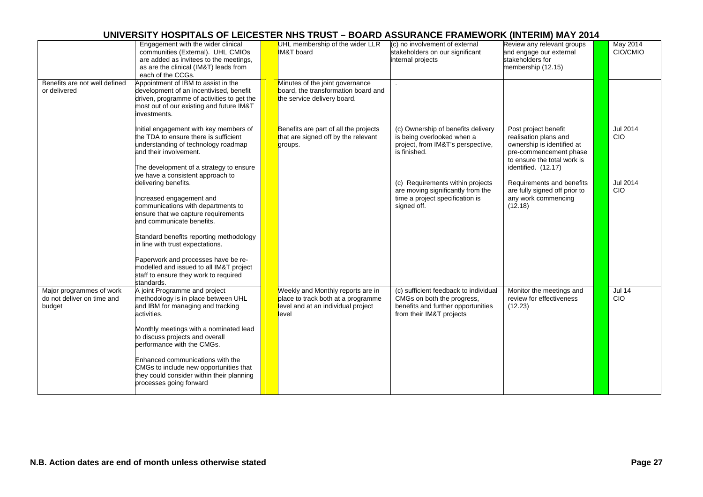|                                                                  | Engagement with the wider clinical<br>communities (External). UHL CMIOs<br>are added as invitees to the meetings,<br>as are the clinical (IM&T) leads from<br>each of the CCGs.             | UHL membership of the wider LLR<br>IM&T board                                                                          | (c) no involvement of external<br>stakeholders on our significant<br>internal projects                                                | Review any relevant groups<br>and engage our external<br>stakeholders for<br>membership (12.15)                                                             | May 2014<br>CIO/CMIO        |
|------------------------------------------------------------------|---------------------------------------------------------------------------------------------------------------------------------------------------------------------------------------------|------------------------------------------------------------------------------------------------------------------------|---------------------------------------------------------------------------------------------------------------------------------------|-------------------------------------------------------------------------------------------------------------------------------------------------------------|-----------------------------|
| Benefits are not well defined<br>or delivered                    | Appointment of IBM to assist in the<br>development of an incentivised, benefit<br>driven, programme of activities to get the<br>most out of our existing and future IM&T<br>investments.    | Minutes of the joint governance<br>board, the transformation board and<br>the service delivery board.                  |                                                                                                                                       |                                                                                                                                                             |                             |
|                                                                  | Initial engagement with key members of<br>the TDA to ensure there is sufficient<br>understanding of technology roadmap<br>and their involvement.<br>The development of a strategy to ensure | Benefits are part of all the projects<br>that are signed off by the relevant<br>groups.                                | (c) Ownership of benefits delivery<br>is being overlooked when a<br>project, from IM&T's perspective,<br>is finished.                 | Post project benefit<br>realisation plans and<br>ownership is identified at<br>pre-commencement phase<br>to ensure the total work is<br>identified. (12.17) | <b>Jul 2014</b><br>CIO      |
|                                                                  | we have a consistent approach to<br>delivering benefits.<br>Increased engagement and<br>communications with departments to<br>ensure that we capture requirements                           |                                                                                                                        | (c) Requirements within projects<br>are moving significantly from the<br>time a project specification is<br>signed off.               | Requirements and benefits<br>are fully signed off prior to<br>any work commencing<br>(12.18)                                                                | <b>Jul 2014</b><br>CIO      |
|                                                                  | and communicate benefits.<br>Standard benefits reporting methodology<br>in line with trust expectations.<br>Paperwork and processes have be re-                                             |                                                                                                                        |                                                                                                                                       |                                                                                                                                                             |                             |
|                                                                  | modelled and issued to all IM&T project<br>staff to ensure they work to required<br>standards.                                                                                              |                                                                                                                        |                                                                                                                                       |                                                                                                                                                             |                             |
| Major programmes of work<br>do not deliver on time and<br>budget | A joint Programme and project<br>methodology is in place between UHL<br>and IBM for managing and tracking<br>activities.                                                                    | Weekly and Monthly reports are in<br>place to track both at a programme<br>level and at an individual project<br>level | (c) sufficient feedback to individual<br>CMGs on both the progress,<br>benefits and further opportunities<br>from their IM&T projects | Monitor the meetings and<br>review for effectiveness<br>(12.23)                                                                                             | <b>Jul 14</b><br><b>CIO</b> |
|                                                                  | Monthly meetings with a nominated lead<br>to discuss projects and overall<br>performance with the CMGs.                                                                                     |                                                                                                                        |                                                                                                                                       |                                                                                                                                                             |                             |
|                                                                  | Enhanced communications with the<br>CMGs to include new opportunities that<br>they could consider within their planning<br>processes going forward                                          |                                                                                                                        |                                                                                                                                       |                                                                                                                                                             |                             |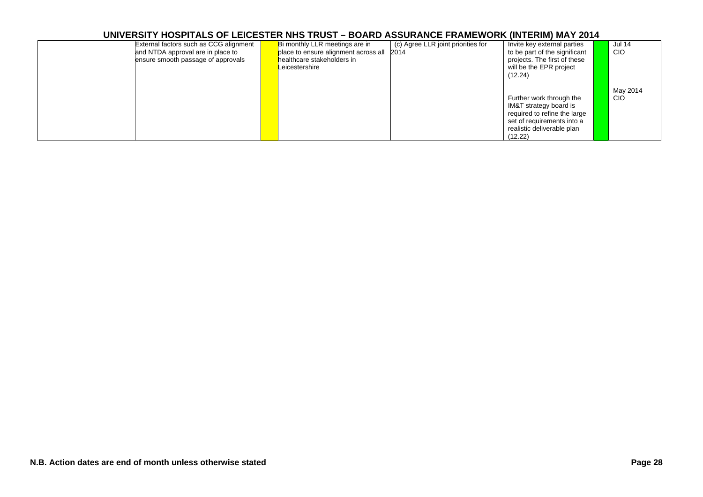| External factors such as CCG alignment<br>and NTDA approval are in place to<br>ensure smooth passage of approvals | Bi monthly LLR meetings are in<br>2014<br>place to ensure alignment across all<br>healthcare stakeholders in<br>Leicestershire | (c) Agree LLR joint priorities for<br>Invite key external parties<br>to be part of the significant<br>projects. The first of these<br>will be the EPR project<br>(12.24) | <b>Jul 14</b><br><b>CIO</b> |
|-------------------------------------------------------------------------------------------------------------------|--------------------------------------------------------------------------------------------------------------------------------|--------------------------------------------------------------------------------------------------------------------------------------------------------------------------|-----------------------------|
|                                                                                                                   |                                                                                                                                | Further work through the<br>IM&T strategy board is<br>required to refine the large<br>set of requirements into a<br>realistic deliverable plan<br>(12.22)                | May 2014<br><b>CIO</b>      |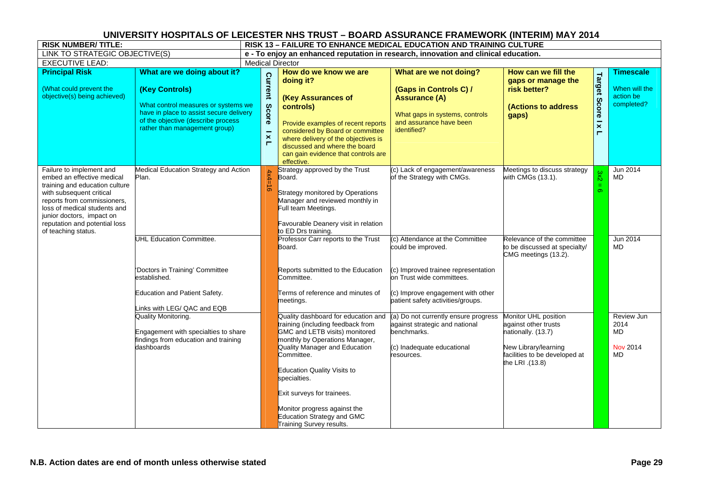| <b>RISK NUMBER/TITLE:</b>                                                                                                                                                                                                                                                |                                                                                                                                                                                                        | <b>RISK 13 - FAILURE TO ENHANCE MEDICAL EDUCATION AND TRAINING CULTURE</b>          |                                                  |                                                                                                                                                                                                                                                                                                                                                                    |                                                                                                                                                                                                     |                                                                                                                                                |                                                                     |                                                              |  |  |  |
|--------------------------------------------------------------------------------------------------------------------------------------------------------------------------------------------------------------------------------------------------------------------------|--------------------------------------------------------------------------------------------------------------------------------------------------------------------------------------------------------|-------------------------------------------------------------------------------------|--------------------------------------------------|--------------------------------------------------------------------------------------------------------------------------------------------------------------------------------------------------------------------------------------------------------------------------------------------------------------------------------------------------------------------|-----------------------------------------------------------------------------------------------------------------------------------------------------------------------------------------------------|------------------------------------------------------------------------------------------------------------------------------------------------|---------------------------------------------------------------------|--------------------------------------------------------------|--|--|--|
| LINK TO STRATEGIC OBJECTIVE(S)                                                                                                                                                                                                                                           |                                                                                                                                                                                                        | e - To enjoy an enhanced reputation in research, innovation and clinical education. |                                                  |                                                                                                                                                                                                                                                                                                                                                                    |                                                                                                                                                                                                     |                                                                                                                                                |                                                                     |                                                              |  |  |  |
| <b>EXECUTIVE LEAD:</b>                                                                                                                                                                                                                                                   |                                                                                                                                                                                                        |                                                                                     | <b>Medical Director</b>                          |                                                                                                                                                                                                                                                                                                                                                                    |                                                                                                                                                                                                     |                                                                                                                                                |                                                                     |                                                              |  |  |  |
| <b>Principal Risk</b><br>(What could prevent the<br>objective(s) being achieved)                                                                                                                                                                                         | What are we doing about it?<br>(Key Controls)<br>What control measures or systems we<br>have in place to assist secure delivery<br>of the objective (describe process<br>rather than management group) |                                                                                     | Current<br>Score<br>$\overline{\mathbf{x}}$<br>п | How do we know we are<br>doing it?<br>(Key Assurances of<br>controls)<br>Provide examples of recent reports<br>considered by Board or committee<br>where delivery of the objectives is<br>discussed and where the board<br>can gain evidence that controls are<br>effective.                                                                                       | What are we not doing?<br>(Gaps in Controls C) /<br><b>Assurance (A)</b><br>What gaps in systems, controls<br>and assurance have been<br>identified?                                                | How can we fill the<br>gaps or manage the<br>risk better?<br>(Actions to address<br>gaps)                                                      | Target<br><b>Score</b><br>$\overline{\mathbf{x}}$<br>$\blacksquare$ | <b>Timescale</b><br>When will the<br>action be<br>completed? |  |  |  |
| Failure to implement and<br>embed an effective medical<br>training and education culture<br>with subsequent critical<br>reports from commissioners,<br>loss of medical students and<br>junior doctors, impact on<br>reputation and potential loss<br>of teaching status. | Medical Education Strategy and Action<br>Plan.                                                                                                                                                         |                                                                                     | $4x4=16$                                         | Strategy approved by the Trust<br>Board.<br>Strategy monitored by Operations<br>Manager and reviewed monthly in<br>Full team Meetings.<br>Favourable Deanery visit in relation<br>to ED Drs training.                                                                                                                                                              | (c) Lack of engagement/awareness<br>of the Strategy with CMGs.                                                                                                                                      | Meetings to discuss strategy<br>with CMGs (13.1).                                                                                              | 3x2<br>O)                                                           | Jun 2014<br><b>MD</b>                                        |  |  |  |
|                                                                                                                                                                                                                                                                          | <b>UHL Education Committee.</b><br>'Doctors in Training' Committee<br>established.<br><b>Education and Patient Safety.</b><br>Links with LEG/ QAC and EQB                                              |                                                                                     |                                                  | Professor Carr reports to the Trust<br>Board.<br>Reports submitted to the Education<br>Committee.<br>Terms of reference and minutes of<br>meetings.                                                                                                                                                                                                                | (c) Attendance at the Committee<br>could be improved.<br>(c) Improved trainee representation<br>on Trust wide committees.<br>(c) Improve engagement with other<br>patient safety activities/groups. | Relevance of the committee<br>to be discussed at specialty/<br>CMG meetings (13.2).                                                            |                                                                     | Jun 2014<br><b>MD</b>                                        |  |  |  |
|                                                                                                                                                                                                                                                                          | Quality Monitoring.<br>Engagement with specialties to share<br>findings from education and training<br>dashboards                                                                                      |                                                                                     |                                                  | Quality dashboard for education and<br>training (including feedback from<br>GMC and LETB visits) monitored<br>monthly by Operations Manager,<br>Quality Manager and Education<br>Committee.<br>Education Quality Visits to<br>specialties.<br>Exit surveys for trainees.<br>Monitor progress against the<br>Education Strategy and GMC<br>Training Survey results. | (a) Do not currently ensure progress<br>against strategic and national<br>benchmarks.<br>(c) Inadequate educational<br>resources.                                                                   | Monitor UHL position<br>against other trusts<br>nationally. (13.7)<br>New Library/learning<br>facilities to be developed at<br>the LRI .(13.8) |                                                                     | Review Jun<br>2014<br>MD<br><b>Nov 2014</b><br><b>MD</b>     |  |  |  |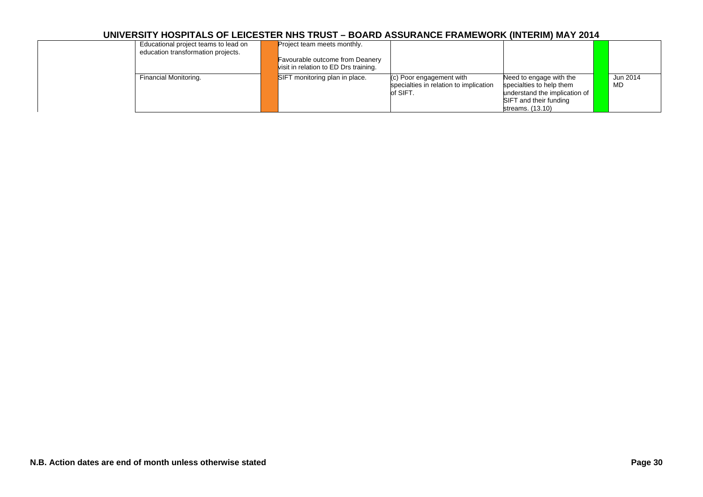| Educational project teams to lead on<br>education transformation projects. | Project team meets monthly.<br>Favourable outcome from Deanery<br>visit in relation to ED Drs training. |                                                                                |                                                                                                                                    |                |
|----------------------------------------------------------------------------|---------------------------------------------------------------------------------------------------------|--------------------------------------------------------------------------------|------------------------------------------------------------------------------------------------------------------------------------|----------------|
| Financial Monitoring.                                                      | SIFT monitoring plan in place.                                                                          | (c) Poor engagement with<br>specialties in relation to implication<br>of SIFT. | Need to engage with the<br>specialties to help them<br>understand the implication of<br>SIFT and their funding<br>streams. (13.10) | Jun 2014<br>MD |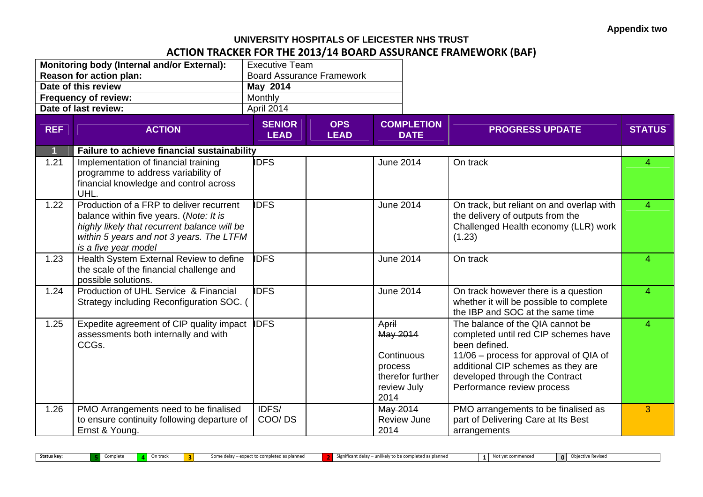## **UNIVERSITY HOSPITALS OF LEICESTER NHS TRUSTACTION TRACKER FOR THE 2013/14 BOARD ASSURANCE FRAMEWORK (BAF)**

|                         | <b>Monitoring body (Internal and/or External):</b>                                                                                                                                                      | <b>Executive Team</b>        |                                  |                                                                                       |                                                                                                                                                                                                                                           |                |
|-------------------------|---------------------------------------------------------------------------------------------------------------------------------------------------------------------------------------------------------|------------------------------|----------------------------------|---------------------------------------------------------------------------------------|-------------------------------------------------------------------------------------------------------------------------------------------------------------------------------------------------------------------------------------------|----------------|
|                         | Reason for action plan:                                                                                                                                                                                 |                              | <b>Board Assurance Framework</b> |                                                                                       |                                                                                                                                                                                                                                           |                |
|                         | Date of this review                                                                                                                                                                                     | May 2014                     |                                  |                                                                                       |                                                                                                                                                                                                                                           |                |
|                         | <b>Frequency of review:</b>                                                                                                                                                                             | Monthly                      |                                  |                                                                                       |                                                                                                                                                                                                                                           |                |
|                         | Date of last review:                                                                                                                                                                                    | April 2014                   |                                  |                                                                                       |                                                                                                                                                                                                                                           |                |
| <b>REF</b>              | <b>ACTION</b>                                                                                                                                                                                           | <b>SENIOR</b><br><b>LEAD</b> | <b>OPS</b><br><b>LEAD</b>        | <b>COMPLETION</b><br><b>DATE</b>                                                      | <b>PROGRESS UPDATE</b>                                                                                                                                                                                                                    | <b>STATUS</b>  |
| $\overline{\mathbf{1}}$ | Failure to achieve financial sustainability                                                                                                                                                             |                              |                                  |                                                                                       |                                                                                                                                                                                                                                           |                |
| 1.21                    | Implementation of financial training<br>programme to address variability of<br>financial knowledge and control across<br>UHL.                                                                           | <b>IDFS</b>                  |                                  | June 2014                                                                             | On track                                                                                                                                                                                                                                  | 4              |
| 1.22                    | Production of a FRP to deliver recurrent<br>balance within five years. (Note: It is<br>highly likely that recurrent balance will be<br>within 5 years and not 3 years. The LTFM<br>is a five year model | <b>IDFS</b>                  |                                  | June 2014                                                                             | On track, but reliant on and overlap with<br>the delivery of outputs from the<br>Challenged Health economy (LLR) work<br>(1.23)                                                                                                           | $\Delta$       |
| 1.23                    | Health System External Review to define<br>the scale of the financial challenge and<br>possible solutions.                                                                                              | <b>IDFS</b>                  |                                  | <b>June 2014</b>                                                                      | On track                                                                                                                                                                                                                                  | 4              |
| 1.24                    | Production of UHL Service & Financial<br>Strategy including Reconfiguration SOC. (                                                                                                                      | <b>IDFS</b>                  |                                  | <b>June 2014</b>                                                                      | On track however there is a question<br>whether it will be possible to complete<br>the IBP and SOC at the same time                                                                                                                       | $\overline{4}$ |
| 1.25                    | Expedite agreement of CIP quality impact<br>assessments both internally and with<br>CCGs.                                                                                                               | <b>IDFS</b>                  |                                  | April<br>May 2014<br>Continuous<br>process<br>therefor further<br>review July<br>2014 | The balance of the QIA cannot be<br>completed until red CIP schemes have<br>been defined.<br>11/06 – process for approval of QIA of<br>additional CIP schemes as they are<br>developed through the Contract<br>Performance review process | 4              |
| 1.26                    | PMO Arrangements need to be finalised<br>to ensure continuity following departure of<br>Ernst & Young.                                                                                                  | IDFS/<br>COO/DS              |                                  | May 2014<br><b>Review June</b><br>2014                                                | PMO arrangements to be finalised as<br>part of Delivering Care at Its Best<br>arrangements                                                                                                                                                | 3              |

**Status key: 5**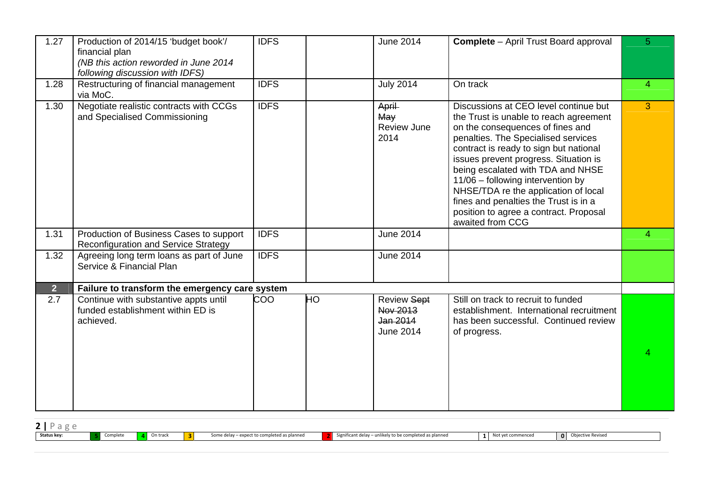| 1.27           | Production of 2014/15 'budget book'/<br>financial plan<br>(NB this action reworded in June 2014<br>following discussion with IDFS) | <b>IDFS</b> |    | <b>June 2014</b>                                               | <b>Complete</b> - April Trust Board approval                                                                                                                                                                                                                                                                                                                                                                                                                           | 5              |
|----------------|------------------------------------------------------------------------------------------------------------------------------------|-------------|----|----------------------------------------------------------------|------------------------------------------------------------------------------------------------------------------------------------------------------------------------------------------------------------------------------------------------------------------------------------------------------------------------------------------------------------------------------------------------------------------------------------------------------------------------|----------------|
| 1.28           | Restructuring of financial management<br>via MoC.                                                                                  | <b>IDFS</b> |    | <b>July 2014</b>                                               | On track                                                                                                                                                                                                                                                                                                                                                                                                                                                               | $\overline{4}$ |
| 1.30           | Negotiate realistic contracts with CCGs<br>and Specialised Commissioning                                                           | <b>IDFS</b> |    | April<br>May<br><b>Review June</b><br>2014                     | Discussions at CEO level continue but<br>the Trust is unable to reach agreement<br>on the consequences of fines and<br>penalties. The Specialised services<br>contract is ready to sign but national<br>issues prevent progress. Situation is<br>being escalated with TDA and NHSE<br>11/06 - following intervention by<br>NHSE/TDA re the application of local<br>fines and penalties the Trust is in a<br>position to agree a contract. Proposal<br>awaited from CCG | 3              |
| 1.31           | Production of Business Cases to support<br><b>Reconfiguration and Service Strategy</b>                                             | <b>IDFS</b> |    | <b>June 2014</b>                                               |                                                                                                                                                                                                                                                                                                                                                                                                                                                                        | 4              |
| 1.32           | Agreeing long term loans as part of June<br>Service & Financial Plan                                                               | <b>IDFS</b> |    | <b>June 2014</b>                                               |                                                                                                                                                                                                                                                                                                                                                                                                                                                                        |                |
| 2 <sup>1</sup> | Failure to transform the emergency care system                                                                                     |             |    |                                                                |                                                                                                                                                                                                                                                                                                                                                                                                                                                                        |                |
| 2.7            | Continue with substantive appts until<br>funded establishment within ED is<br>achieved.                                            | COO         | HO | <b>Review Sept</b><br>Nov 2013<br>Jan 2014<br><b>June 2014</b> | Still on track to recruit to funded<br>establishment. International recruitment<br>has been successful. Continued review<br>of progress.                                                                                                                                                                                                                                                                                                                               |                |

| _           |          |          |                                             |                                                           |                        |          |                 |
|-------------|----------|----------|---------------------------------------------|-----------------------------------------------------------|------------------------|----------|-----------------|
| Status key: | Complete | On track | Some delay - expect to completed as planned | Significant delay $-$ unlikely to be completed as planned | t commenced<br>Not yet | $\Omega$ | jective Revised |
|             |          |          |                                             |                                                           |                        |          |                 |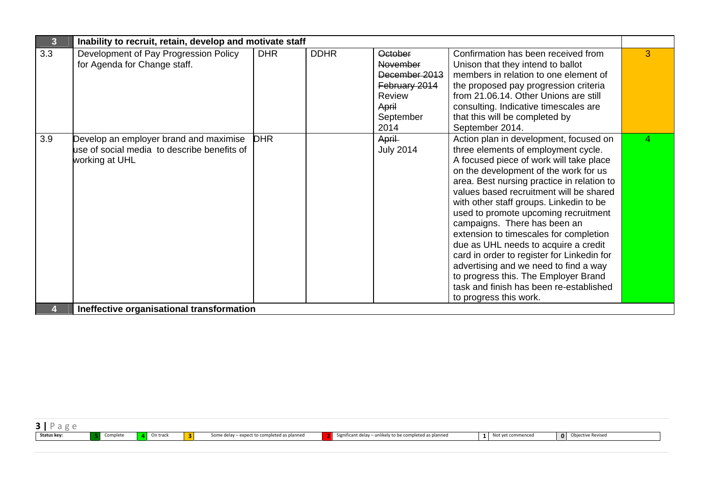| $\overline{\mathbf{3}}$ | Inability to recruit, retain, develop and motivate staff                                                |            |             |                                                                                                             |                                                                                                                                                                                                                                                                                                                                                                                                                                                                                                                                                                                                                                                                     |   |
|-------------------------|---------------------------------------------------------------------------------------------------------|------------|-------------|-------------------------------------------------------------------------------------------------------------|---------------------------------------------------------------------------------------------------------------------------------------------------------------------------------------------------------------------------------------------------------------------------------------------------------------------------------------------------------------------------------------------------------------------------------------------------------------------------------------------------------------------------------------------------------------------------------------------------------------------------------------------------------------------|---|
| 3.3                     | Development of Pay Progression Policy<br>for Agenda for Change staff.                                   | <b>DHR</b> | <b>DDHR</b> | <b>October</b><br><b>November</b><br>December 2013<br>February 2014<br>Review<br>April<br>September<br>2014 | Confirmation has been received from<br>Unison that they intend to ballot<br>members in relation to one element of<br>the proposed pay progression criteria<br>from 21.06.14. Other Unions are still<br>consulting. Indicative timescales are<br>that this will be completed by<br>September 2014.                                                                                                                                                                                                                                                                                                                                                                   | 3 |
| 3.9                     | Develop an employer brand and maximise<br>use of social media to describe benefits of<br>working at UHL | <b>DHR</b> |             | April<br><b>July 2014</b>                                                                                   | Action plan in development, focused on<br>three elements of employment cycle.<br>A focused piece of work will take place<br>on the development of the work for us<br>area. Best nursing practice in relation to<br>values based recruitment will be shared<br>with other staff groups. Linkedin to be<br>used to promote upcoming recruitment<br>campaigns. There has been an<br>extension to timescales for completion<br>due as UHL needs to acquire a credit<br>card in order to register for Linkedin for<br>advertising and we need to find a way<br>to progress this. The Employer Brand<br>task and finish has been re-established<br>to progress this work. | 4 |
|                         | Ineffective organisational transformation                                                               |            |             |                                                                                                             |                                                                                                                                                                                                                                                                                                                                                                                                                                                                                                                                                                                                                                                                     |   |

| $\sim$<br>$\sigma$<br>◡<br>5. |          |          |   |                                             |                                                         |                   |                                       |
|-------------------------------|----------|----------|---|---------------------------------------------|---------------------------------------------------------|-------------------|---------------------------------------|
| Status key:                   | Complete | On track | Þ | Some delay - expect to completed as planned | Significant delay - unlikely to be completed as planned | Not vet commenced | Ohiert<br>Jective Revised<br>$\Omega$ |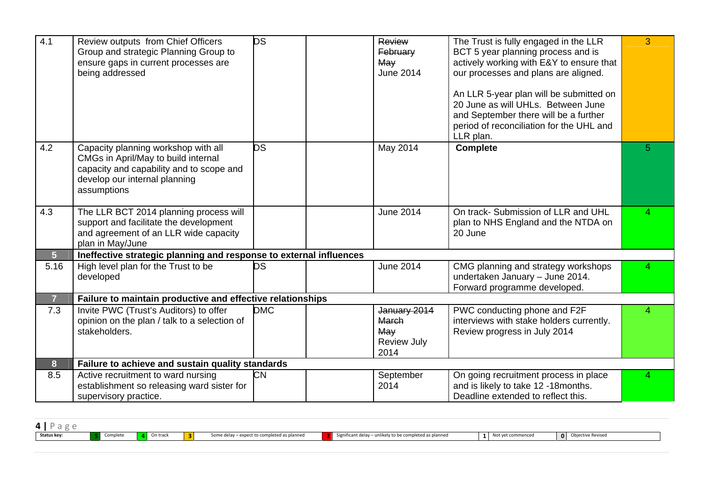| 4.1                     | Review outputs from Chief Officers<br>Group and strategic Planning Group to<br>ensure gaps in current processes are<br>being addressed                                 | <b>DS</b>  | Review<br>February<br>May<br><b>June 2014</b>              | The Trust is fully engaged in the LLR<br>BCT 5 year planning process and is<br>actively working with E&Y to ensure that<br>our processes and plans are aligned.<br>An LLR 5-year plan will be submitted on<br>20 June as will UHLs. Between June<br>and September there will be a further<br>period of reconciliation for the UHL and<br>LLR plan. | 3              |
|-------------------------|------------------------------------------------------------------------------------------------------------------------------------------------------------------------|------------|------------------------------------------------------------|----------------------------------------------------------------------------------------------------------------------------------------------------------------------------------------------------------------------------------------------------------------------------------------------------------------------------------------------------|----------------|
| 4.2                     | Capacity planning workshop with all<br>CMGs in April/May to build internal<br>capacity and capability and to scope and<br>develop our internal planning<br>assumptions | DS         | May 2014                                                   | <b>Complete</b>                                                                                                                                                                                                                                                                                                                                    | 5 <sup>5</sup> |
| 4.3                     | The LLR BCT 2014 planning process will<br>support and facilitate the development<br>and agreement of an LLR wide capacity<br>plan in May/June                          |            | <b>June 2014</b>                                           | On track- Submission of LLR and UHL<br>plan to NHS England and the NTDA on<br>20 June                                                                                                                                                                                                                                                              | 4              |
| 5 <sup>1</sup>          | Ineffective strategic planning and response to external influences                                                                                                     |            |                                                            |                                                                                                                                                                                                                                                                                                                                                    |                |
| 5.16                    | High level plan for the Trust to be<br>developed                                                                                                                       | DS         | <b>June 2014</b>                                           | CMG planning and strategy workshops<br>undertaken January - June 2014.<br>Forward programme developed.                                                                                                                                                                                                                                             | 4              |
| $\overline{7}$          | Failure to maintain productive and effective relationships                                                                                                             |            |                                                            |                                                                                                                                                                                                                                                                                                                                                    |                |
| 7.3                     | Invite PWC (Trust's Auditors) to offer<br>opinion on the plan / talk to a selection of<br>stakeholders.                                                                | <b>DMC</b> | January 2014<br>March<br>May<br><b>Review July</b><br>2014 | PWC conducting phone and F2F<br>interviews with stake holders currently.<br>Review progress in July 2014                                                                                                                                                                                                                                           | 4              |
| $\overline{\mathbf{8}}$ | Failure to achieve and sustain quality standards                                                                                                                       |            |                                                            |                                                                                                                                                                                                                                                                                                                                                    |                |
| 8.5                     | Active recruitment to ward nursing<br>establishment so releasing ward sister for<br>supervisory practice.                                                              | CМ         | September<br>2014                                          | On going recruitment process in place<br>and is likely to take 12 -18 months.<br>Deadline extended to reflect this.                                                                                                                                                                                                                                | 4              |

| 4 I P 2<br>$2\sigma$ |          |          |   |                                             |                                                                |                   |                   |
|----------------------|----------|----------|---|---------------------------------------------|----------------------------------------------------------------|-------------------|-------------------|
| Status key:          | Complete | On track | 3 | Some delay – expect to completed as planned | Significant delay – unlikely to be completed as planned<br>. . | Not vet commenced | Objective Revised |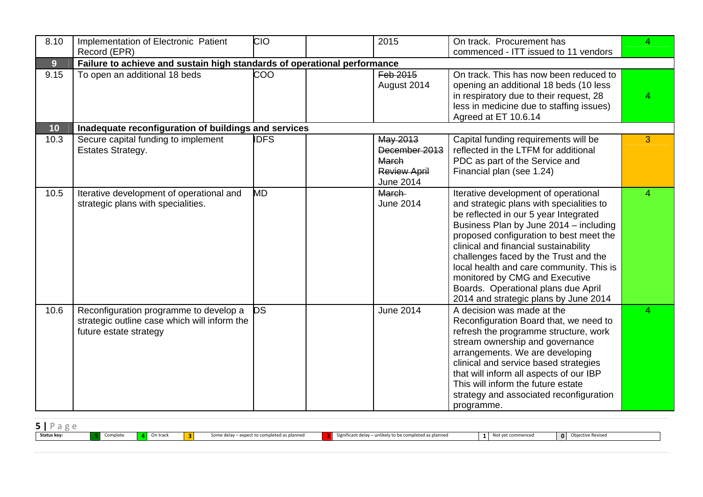| 8.10           | Implementation of Electronic Patient                                                                             | <b>CIO</b>  | 2015                                                                          | On track. Procurement has                                                                                                                                                                                                                                                                                                                                                                                                                                      | 4.             |
|----------------|------------------------------------------------------------------------------------------------------------------|-------------|-------------------------------------------------------------------------------|----------------------------------------------------------------------------------------------------------------------------------------------------------------------------------------------------------------------------------------------------------------------------------------------------------------------------------------------------------------------------------------------------------------------------------------------------------------|----------------|
|                | Record (EPR)                                                                                                     |             |                                                                               | commenced - ITT issued to 11 vendors                                                                                                                                                                                                                                                                                                                                                                                                                           |                |
| 9 <sup>°</sup> | Failure to achieve and sustain high standards of operational performance                                         |             |                                                                               |                                                                                                                                                                                                                                                                                                                                                                                                                                                                |                |
| 9.15           | To open an additional 18 beds                                                                                    | <b>COO</b>  | Feb 2015<br>August 2014                                                       | On track. This has now been reduced to<br>opening an additional 18 beds (10 less<br>in respiratory due to their request, 28<br>less in medicine due to staffing issues)<br>Agreed at ET 10.6.14                                                                                                                                                                                                                                                                |                |
| 10             | Inadequate reconfiguration of buildings and services                                                             |             |                                                                               |                                                                                                                                                                                                                                                                                                                                                                                                                                                                |                |
| 10.3           | Secure capital funding to implement<br><b>Estates Strategy.</b>                                                  | <b>IDFS</b> | May 2013<br>December 2013<br>March<br><b>Review April</b><br><b>June 2014</b> | Capital funding requirements will be<br>reflected in the LTFM for additional<br>PDC as part of the Service and<br>Financial plan (see 1.24)                                                                                                                                                                                                                                                                                                                    | 3              |
| 10.5           | Iterative development of operational and<br>strategic plans with specialities.                                   | <b>MD</b>   | <b>March</b><br><b>June 2014</b>                                              | Iterative development of operational<br>and strategic plans with specialities to<br>be reflected in our 5 year Integrated<br>Business Plan by June 2014 - including<br>proposed configuration to best meet the<br>clinical and financial sustainability<br>challenges faced by the Trust and the<br>local health and care community. This is<br>monitored by CMG and Executive<br>Boards. Operational plans due April<br>2014 and strategic plans by June 2014 | $\overline{4}$ |
| 10.6           | Reconfiguration programme to develop a<br>strategic outline case which will inform the<br>future estate strategy | <b>DS</b>   | <b>June 2014</b>                                                              | A decision was made at the<br>Reconfiguration Board that, we need to<br>refresh the programme structure, work<br>stream ownership and governance<br>arrangements. We are developing<br>clinical and service based strategies<br>that will inform all aspects of our IBP<br>This will inform the future estate<br>strategy and associated reconfiguration<br>programme.                                                                                         | 4              |

| Status key: | Complete | On track | Some delay – expect to completed as planned | Significant delay – unlikely to be completed as planned | Not yet commenced | Objective Revised<br>0 |  |
|-------------|----------|----------|---------------------------------------------|---------------------------------------------------------|-------------------|------------------------|--|
|             |          |          |                                             |                                                         |                   |                        |  |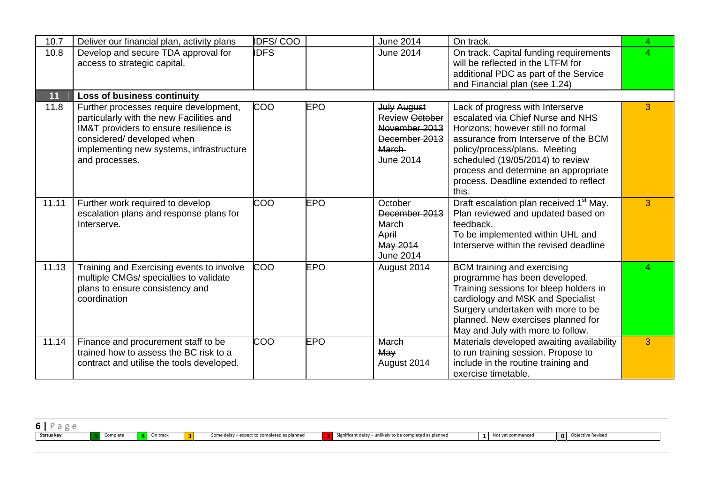| 10.7  | Deliver our financial plan, activity plans                                                                                                                                                                               | <b>IDFS/COO</b> |            | <b>June 2014</b>                                                                                                  | On track.                                                                                                                                                                                                                                                                                                         | 4              |
|-------|--------------------------------------------------------------------------------------------------------------------------------------------------------------------------------------------------------------------------|-----------------|------------|-------------------------------------------------------------------------------------------------------------------|-------------------------------------------------------------------------------------------------------------------------------------------------------------------------------------------------------------------------------------------------------------------------------------------------------------------|----------------|
| 10.8  | Develop and secure TDA approval for<br>access to strategic capital.                                                                                                                                                      | <b>IDFS</b>     |            | <b>June 2014</b>                                                                                                  | On track. Capital funding requirements<br>will be reflected in the LTFM for                                                                                                                                                                                                                                       | $\overline{4}$ |
|       |                                                                                                                                                                                                                          |                 |            |                                                                                                                   | additional PDC as part of the Service<br>and Financial plan (see 1.24)                                                                                                                                                                                                                                            |                |
| 11    | <b>Loss of business continuity</b>                                                                                                                                                                                       |                 |            |                                                                                                                   |                                                                                                                                                                                                                                                                                                                   |                |
| 11.8  | Further processes require development,<br>particularly with the new Facilities and<br>IM&T providers to ensure resilience is<br>considered/ developed when<br>implementing new systems, infrastructure<br>and processes. | COO             | <b>EPO</b> | <b>July August</b><br><b>Review October</b><br>November 2013<br>December 2013<br><b>March</b><br><b>June 2014</b> | Lack of progress with Interserve<br>escalated via Chief Nurse and NHS<br>Horizons; however still no formal<br>assurance from Interserve of the BCM<br>policy/process/plans. Meeting<br>scheduled (19/05/2014) to review<br>process and determine an appropriate<br>process. Deadline extended to reflect<br>this. | 3              |
| 11.11 | Further work required to develop<br>escalation plans and response plans for<br>Interserve.                                                                                                                               | COO             | <b>EPO</b> | <b>October</b><br>December 2013<br>March<br>April<br>May 2014<br><b>June 2014</b>                                 | Draft escalation plan received 1 <sup>st</sup> May.<br>Plan reviewed and updated based on<br>feedback.<br>To be implemented within UHL and<br>Interserve within the revised deadline                                                                                                                              | 3              |
| 11.13 | Training and Exercising events to involve<br>multiple CMGs/ specialties to validate<br>plans to ensure consistency and<br>coordination                                                                                   | COO             | <b>EPO</b> | August 2014                                                                                                       | BCM training and exercising<br>programme has been developed.<br>Training sessions for bleep holders in<br>cardiology and MSK and Specialist<br>Surgery undertaken with more to be<br>planned. New exercises planned for<br>May and July with more to follow.                                                      | 4              |
| 11.14 | Finance and procurement staff to be<br>trained how to assess the BC risk to a<br>contract and utilise the tools developed.                                                                                               | COO             | <b>EPO</b> | March<br>May<br>August 2014                                                                                       | Materials developed awaiting availability<br>to run training session. Propose to<br>include in the routine training and<br>exercise timetable.                                                                                                                                                                    | 3              |

| Status key: | Complete | On track | Some delay – expect to completed as planned | Significant delay - unlikely to be completed as planned | Not vet commenceo | $\Omega$ | Obiective Revised |
|-------------|----------|----------|---------------------------------------------|---------------------------------------------------------|-------------------|----------|-------------------|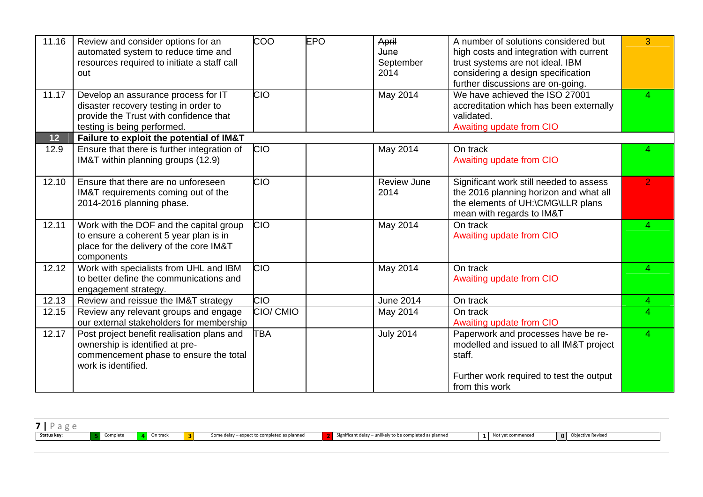| 11.16 | Review and consider options for an<br>automated system to reduce time and<br>resources required to initiate a staff call<br>out                       | <b>COO</b> | <b>EPO</b> | April<br>June<br>September<br>2014 | A number of solutions considered but<br>high costs and integration with current<br>trust systems are not ideal. IBM<br>considering a design specification<br>further discussions are on-going. | 3              |
|-------|-------------------------------------------------------------------------------------------------------------------------------------------------------|------------|------------|------------------------------------|------------------------------------------------------------------------------------------------------------------------------------------------------------------------------------------------|----------------|
| 11.17 | Develop an assurance process for IT<br>disaster recovery testing in order to<br>provide the Trust with confidence that<br>testing is being performed. | <b>CIO</b> |            | May 2014                           | We have achieved the ISO 27001<br>accreditation which has been externally<br>validated.<br>Awaiting update from CIO                                                                            | $\mathbf{A}$   |
| 12    | Failure to exploit the potential of IM&T                                                                                                              |            |            |                                    |                                                                                                                                                                                                |                |
| 12.9  | Ensure that there is further integration of<br>IM&T within planning groups (12.9)                                                                     | <b>CIO</b> |            | May 2014                           | On track<br>Awaiting update from CIO                                                                                                                                                           |                |
| 12.10 | Ensure that there are no unforeseen<br>IM&T requirements coming out of the<br>2014-2016 planning phase.                                               | CIO        |            | <b>Review June</b><br>2014         | Significant work still needed to assess<br>the 2016 planning horizon and what all<br>the elements of UH:\CMG\LLR plans<br>mean with regards to IM&T                                            | $\overline{2}$ |
| 12.11 | Work with the DOF and the capital group<br>to ensure a coherent 5 year plan is in<br>place for the delivery of the core IM&T<br>components            | <b>CIO</b> |            | <b>May 2014</b>                    | On track<br>Awaiting update from CIO                                                                                                                                                           | 4              |
| 12.12 | Work with specialists from UHL and IBM<br>to better define the communications and<br>engagement strategy.                                             | <b>CIO</b> |            | May 2014                           | On track<br>Awaiting update from CIO                                                                                                                                                           | 4              |
| 12.13 | Review and reissue the IM&T strategy                                                                                                                  | <b>CIO</b> |            | <b>June 2014</b>                   | On track                                                                                                                                                                                       | $\overline{4}$ |
| 12.15 | Review any relevant groups and engage<br>our external stakeholders for membership                                                                     | CIO/ CMIO  |            | May 2014                           | On track<br>Awaiting update from CIO                                                                                                                                                           | 4              |
| 12.17 | Post project benefit realisation plans and<br>ownership is identified at pre-<br>commencement phase to ensure the total<br>work is identified.        | <b>TBA</b> |            | <b>July 2014</b>                   | Paperwork and processes have be re-<br>modelled and issued to all IM&T project<br>staff.<br>Further work required to test the output<br>from this work                                         | 4              |

| $-$         |         |          |        |                                                                |                                                                           |        |   |
|-------------|---------|----------|--------|----------------------------------------------------------------|---------------------------------------------------------------------------|--------|---|
| Status key: | omplete | On track | $\sim$ | ted as planned<br>elay – expect to completed as r<br>some dell | $\sim$ .<br>ikely to be completed as planned<br>Significant delay – unlik | mmanca | 0 |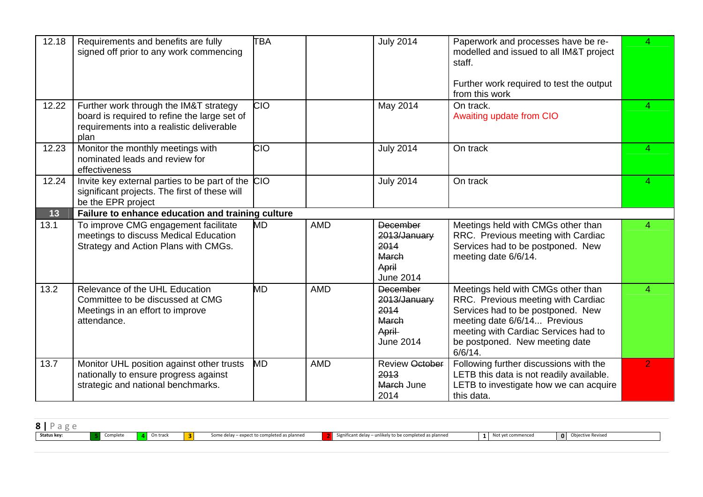| 12.18 | Requirements and benefits are fully<br>signed off prior to any work commencing                                                      | <b>TBA</b> |            | <b>July 2014</b>                                                                     | Paperwork and processes have be re-<br>modelled and issued to all IM&T project<br>staff.<br>Further work required to test the output                                                                                                  | 4              |
|-------|-------------------------------------------------------------------------------------------------------------------------------------|------------|------------|--------------------------------------------------------------------------------------|---------------------------------------------------------------------------------------------------------------------------------------------------------------------------------------------------------------------------------------|----------------|
| 12.22 | Further work through the IM&T strategy<br>board is required to refine the large set of<br>requirements into a realistic deliverable | <b>CIO</b> |            | May 2014                                                                             | from this work<br>On track.<br>Awaiting update from CIO                                                                                                                                                                               | 4              |
| 12.23 | plan<br>Monitor the monthly meetings with<br>nominated leads and review for<br>effectiveness                                        | <b>CIO</b> |            | <b>July 2014</b>                                                                     | On track                                                                                                                                                                                                                              | Δ.             |
| 12.24 | Invite key external parties to be part of the CIO<br>significant projects. The first of these will<br>be the EPR project            |            |            | <b>July 2014</b>                                                                     | On track                                                                                                                                                                                                                              |                |
| 13    | Failure to enhance education and training culture                                                                                   |            |            |                                                                                      |                                                                                                                                                                                                                                       |                |
| 13.1  | To improve CMG engagement facilitate<br>meetings to discuss Medical Education<br>Strategy and Action Plans with CMGs.               | MD         | <b>AMD</b> | <b>December</b><br>2013/January<br>2014<br><b>March</b><br>April<br><b>June 2014</b> | Meetings held with CMGs other than<br>RRC. Previous meeting with Cardiac<br>Services had to be postponed. New<br>meeting date 6/6/14.                                                                                                 | 4              |
| 13.2  | Relevance of the UHL Education<br>Committee to be discussed at CMG<br>Meetings in an effort to improve<br>attendance.               | MD         | <b>AMD</b> | <b>December</b><br>2013/January<br>2014<br>March<br>April<br><b>June 2014</b>        | Meetings held with CMGs other than<br>RRC. Previous meeting with Cardiac<br>Services had to be postponed. New<br>meeting date 6/6/14 Previous<br>meeting with Cardiac Services had to<br>be postponed. New meeting date<br>$6/6/14$ . | 4              |
| 13.7  | Monitor UHL position against other trusts<br>nationally to ensure progress against<br>strategic and national benchmarks.            | MD         | <b>AMD</b> | <b>Review October</b><br>2013<br>March June<br>2014                                  | Following further discussions with the<br>LETB this data is not readily available.<br>LETB to investigate how we can acquire<br>this data.                                                                                            | $\overline{2}$ |

| Status key: | On track | . . | l as nIanned | l as planned<br>Significant delay<br>urely to be comp | . O I | re Reviser |
|-------------|----------|-----|--------------|-------------------------------------------------------|-------|------------|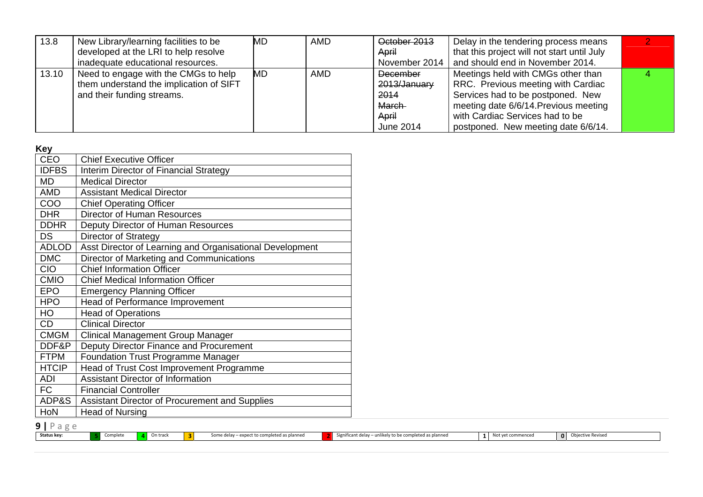| 13.8  | New Library/learning facilities to be   | MD        | <b>AMD</b> | October 2013    | Delay in the tendering process means        |  |
|-------|-----------------------------------------|-----------|------------|-----------------|---------------------------------------------|--|
|       | developed at the LRI to help resolve    |           |            | April           | that this project will not start until July |  |
|       | inadequate educational resources.       |           |            | November 2014   | and should end in November 2014.            |  |
| 13.10 | Need to engage with the CMGs to help    | <b>MD</b> | <b>AMD</b> | <b>December</b> | Meetings held with CMGs other than          |  |
|       | them understand the implication of SIFT |           |            | 2013/January    | RRC. Previous meeting with Cardiac          |  |
|       | and their funding streams.              |           |            | 2014            | Services had to be postponed. New           |  |
|       |                                         |           |            | March-          | meeting date 6/6/14. Previous meeting       |  |
|       |                                         |           |            | April           | with Cardiac Services had to be             |  |
|       |                                         |           |            | June 2014       | postponed. New meeting date 6/6/14.         |  |

**Key** 

| <b>CEO</b>   | <b>Chief Executive Officer</b>                           |
|--------------|----------------------------------------------------------|
| <b>IDFBS</b> | Interim Director of Financial Strategy                   |
| MD           | <b>Medical Director</b>                                  |
| AMD          | <b>Assistant Medical Director</b>                        |
| COO          | <b>Chief Operating Officer</b>                           |
| <b>DHR</b>   | <b>Director of Human Resources</b>                       |
| <b>DDHR</b>  | Deputy Director of Human Resources                       |
| <b>DS</b>    | Director of Strategy                                     |
| <b>ADLOD</b> | Asst Director of Learning and Organisational Development |
| <b>DMC</b>   | Director of Marketing and Communications                 |
| <b>CIO</b>   | <b>Chief Information Officer</b>                         |
| <b>CMIO</b>  | <b>Chief Medical Information Officer</b>                 |
| <b>EPO</b>   | <b>Emergency Planning Officer</b>                        |
| <b>HPO</b>   | <b>Head of Performance Improvement</b>                   |
| HO           | <b>Head of Operations</b>                                |
| <b>CD</b>    | <b>Clinical Director</b>                                 |
| <b>CMGM</b>  | <b>Clinical Management Group Manager</b>                 |
| DDF&P        | Deputy Director Finance and Procurement                  |
| <b>FTPM</b>  | <b>Foundation Trust Programme Manager</b>                |
| <b>HTCIP</b> | Head of Trust Cost Improvement Programme                 |
| ADI          | <b>Assistant Director of Information</b>                 |
| FC           | <b>Financial Controller</b>                              |
| ADP&S        | Assistant Director of Procurement and Supplies           |
| HoN          | Head of Nursing                                          |
|              |                                                          |

**9 |** Page

**Status key: 5**

Complete **4** On track **3** Some delay – expect to completed as planned **2** Significant delay – unlikely to be completed as planned 1 Not yet commenced 0 Objective Revised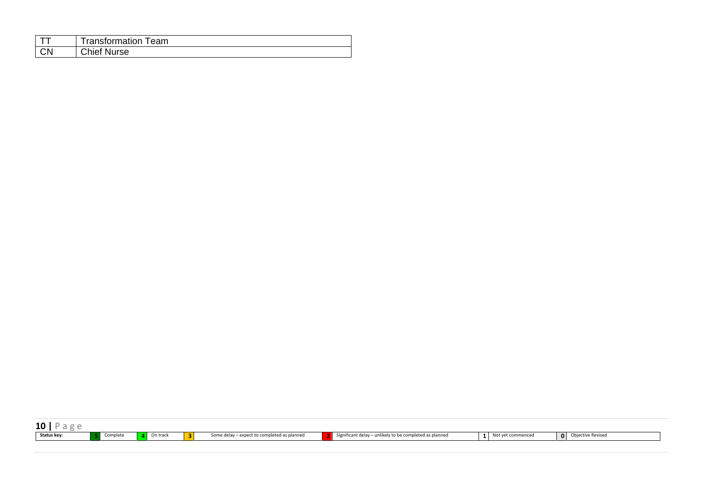|           | Transformation Team |
|-----------|---------------------|
| <b>CN</b> | <b>Chief Nurse</b>  |

| 10          |          |          |              |                                             |                                                         |                   |                     |
|-------------|----------|----------|--------------|---------------------------------------------|---------------------------------------------------------|-------------------|---------------------|
| Status key: | Complete | On track | $\mathbf{R}$ | Some delay – expect to completed as planned | Significant delay – unlikely to be completed as planned | Not vet commenced | O Objective Revised |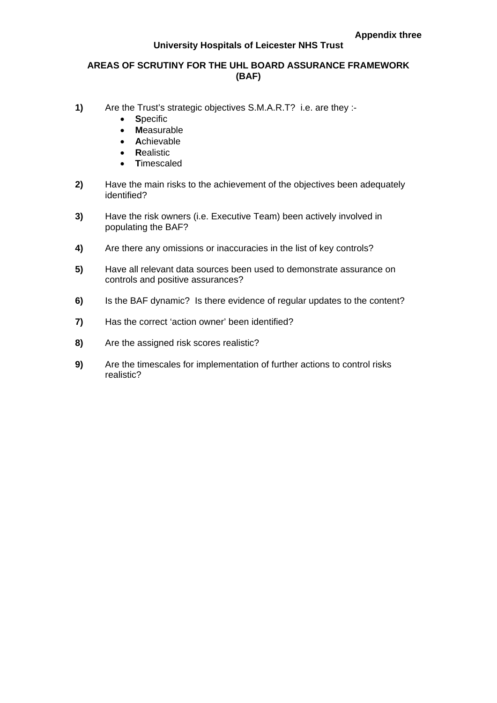#### **University Hospitals of Leicester NHS Trust**

#### **AREAS OF SCRUTINY FOR THE UHL BOARD ASSURANCE FRAMEWORK (BAF)**

- **1)** Are the Trust's strategic objectives S.M.A.R.T? i.e. are they :-
	- **S**pecific
	- **M**easurable
	- **A**chievable
	- **R**ealistic
	- **T**imescaled
- **2)** Have the main risks to the achievement of the objectives been adequately identified?
- **3)** Have the risk owners (i.e. Executive Team) been actively involved in populating the BAF?
- **4)** Are there any omissions or inaccuracies in the list of key controls?
- **5)** Have all relevant data sources been used to demonstrate assurance on controls and positive assurances?
- **6)** Is the BAF dynamic? Is there evidence of regular updates to the content?
- **7)** Has the correct 'action owner' been identified?
- **8)** Are the assigned risk scores realistic?
- **9)** Are the timescales for implementation of further actions to control risks realistic?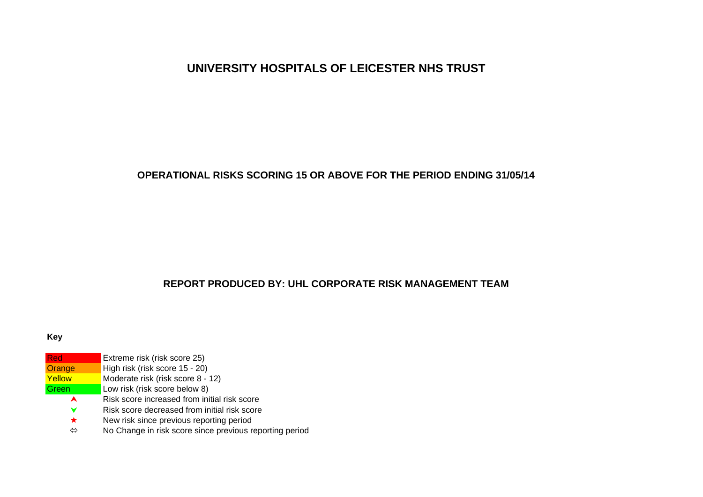# **UNIVERSITY HOSPITALS OF LEICESTER NHS TRUST**

#### **OPERATIONAL RISKS SCORING 15 OR ABOVE FOR THE PERIOD ENDING 31/05/14**

## **REPORT PRODUCED BY: UHL CORPORATE RISK MANAGEMENT TEAM**

#### **Key**

| Red     | Extreme risk (risk score 25)                            |
|---------|---------------------------------------------------------|
| Orange  | High risk (risk score 15 - 20)                          |
| Yellow  | Moderate risk (risk score 8 - 12)                       |
| Green   | Low risk (risk score below 8)                           |
| A       | Risk score increased from initial risk score            |
| v       | Risk score decreased from initial risk score            |
| $\star$ | New risk since previous reporting period                |
| ⇔       | No Change in risk score since previous reporting period |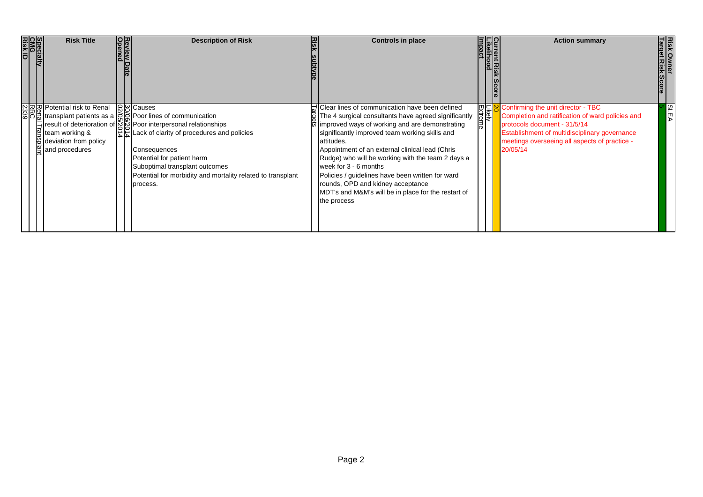| Specialty<br>CMG<br>Risk ID | <b>Risk Title</b>                                                                       | Review | <b>Description of Risk</b>                                                                                                                                                                                                                                                                                                                                                                                                                                                                 | 찦 | <b>Controls in place</b>                                                                                                                                                                                                                                                                                                                                                                                                                                                                                                 | <b>Current Risk<br/>Likelihood</b><br>Impact<br><b>Score</b> | <b>Action summary</b>                                                                                                                                                                                                                                                                             | <b>Risk</b> |  |
|-----------------------------|-----------------------------------------------------------------------------------------|--------|--------------------------------------------------------------------------------------------------------------------------------------------------------------------------------------------------------------------------------------------------------------------------------------------------------------------------------------------------------------------------------------------------------------------------------------------------------------------------------------------|---|--------------------------------------------------------------------------------------------------------------------------------------------------------------------------------------------------------------------------------------------------------------------------------------------------------------------------------------------------------------------------------------------------------------------------------------------------------------------------------------------------------------------------|--------------------------------------------------------------|---------------------------------------------------------------------------------------------------------------------------------------------------------------------------------------------------------------------------------------------------------------------------------------------------|-------------|--|
|                             | $\frac{1}{2}$ team working &<br>₩ deviation from policy<br>$\frac{a}{b}$ and procedures |        | လ  2  2  Potential risk to Renal ပြွမြငြauses<br>မြိုင်  -<br>မြိုင်   altansplant patients as a ငြပြွ Poor lines of communication<br>Poor interpersonal relationships   $\leq$   result of deterioration of $\leq$   Poor interpersonal relationships<br>$\left \frac{1}{b}\right $ Lack of clarity of procedures and policies<br>Consequences<br>Potential for patient harm<br>Suboptimal transplant outcomes<br>Potential for morbidity and mortality related to transplant<br>process. |   | Clear lines of communication have been defined<br>The 4 surgical consultants have agreed significantly<br>improved ways of working and are demonstrating<br>significantly improved team working skills and<br>attitudes.<br>Appointment of an external clinical lead (Chris<br>Rudge) who will be working with the team 2 days a<br>week for 3 - 6 months<br>Policies / guidelines have been written for ward<br>rounds, OPD and kidney acceptance<br>MDT's and M&M's will be in place for the restart of<br>the process |                                                              | ELIC Confirming the unit director - TBC<br>a elicity Completion and ratification of ward<br>Completion and ratification of ward policies and<br>protocols document - 31/5/14<br><b>Establishment of multidisciplinary governance</b><br>meetings overseeing all aspects of practice -<br>20/05/14 |             |  |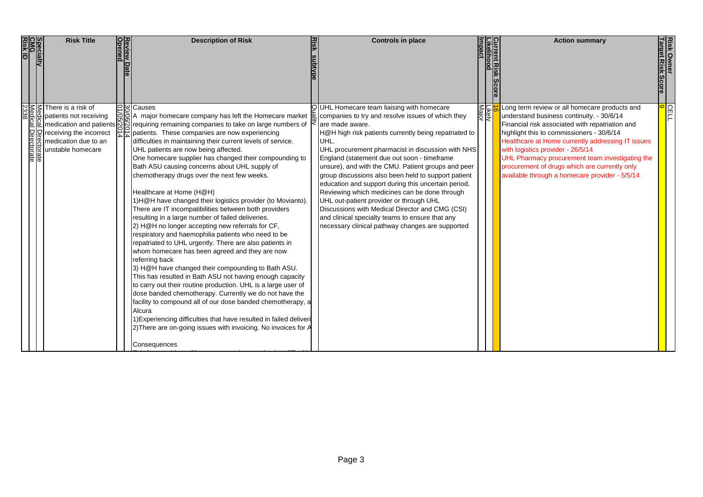| Specialty<br>CMG<br>Risk ID | <b>Risk Title</b>                                                                         | Review Date<br>Opened | <b>Description of Risk</b>                                                                                                                                                                                                                                                                                                                                                                                                                                                                                                                                                                                                                                                                                                                                                                                                                                                                                                                                                                                                                                                                                                                                                                                                                                                                                                                                                                                                                                                     | <b>Risk</b> | <b>Controls in place</b>                                                                                                                                                                                                                                                                                                                                                                                                                                                                                                                                                                                                                                                                                         |               | <b>Action summary</b>                                                                                                                                                                                                                                                                                                                                                                                                                      | <b>Risk Owner</b><br>Target Risk Score |  |
|-----------------------------|-------------------------------------------------------------------------------------------|-----------------------|--------------------------------------------------------------------------------------------------------------------------------------------------------------------------------------------------------------------------------------------------------------------------------------------------------------------------------------------------------------------------------------------------------------------------------------------------------------------------------------------------------------------------------------------------------------------------------------------------------------------------------------------------------------------------------------------------------------------------------------------------------------------------------------------------------------------------------------------------------------------------------------------------------------------------------------------------------------------------------------------------------------------------------------------------------------------------------------------------------------------------------------------------------------------------------------------------------------------------------------------------------------------------------------------------------------------------------------------------------------------------------------------------------------------------------------------------------------------------------|-------------|------------------------------------------------------------------------------------------------------------------------------------------------------------------------------------------------------------------------------------------------------------------------------------------------------------------------------------------------------------------------------------------------------------------------------------------------------------------------------------------------------------------------------------------------------------------------------------------------------------------------------------------------------------------------------------------------------------------|---------------|--------------------------------------------------------------------------------------------------------------------------------------------------------------------------------------------------------------------------------------------------------------------------------------------------------------------------------------------------------------------------------------------------------------------------------------------|----------------------------------------|--|
| ਨਿੰ ਨਿੰ                     | There is a risk of<br>patients not receiving<br>medication due to an<br>unstable homecare |                       | 요 <mark>일</mark> 의 Causes<br>GOA major homecare company has left the Homecare market<br>medication and patients $\frac{1}{2}$ requiring remaining companies to take on large numbers of receiving the incorrect $\frac{1}{4}$ atients. These companies are now experiencing<br>difficulties in maintaining their current levels of service.<br>UHL patients are now being affected.<br>One homecare supplier has changed their compounding to<br>Bath ASU causing concerns about UHL supply of<br>chemotherapy drugs over the next few weeks.<br>Healthcare at Home (H@H)<br>1) H@H have changed their logistics provider (to Movianto).<br>There are IT incompatibilities between both providers<br>resulting in a large number of failed deliveries.<br>2) H@H no longer accepting new referrals for CF,<br>respiratory and haemophilia patients who need to be<br>repatriated to UHL urgently. There are also patients in<br>whom homecare has been agreed and they are now<br>referring back<br>3) H@H have changed their compounding to Bath ASU.<br>This has resulted in Bath ASU not having enough capacity<br>to carry out their routine production. UHL is a large user of<br>dose banded chemotherapy. Currently we do not have the<br>facility to compound all of our dose banded chemotherapy, a<br>Alcura<br>1) Experiencing difficulties that have resulted in failed deliveri<br>2) There are on-going issues with invoicing. No invoices for A<br>Consequences |             | OUHL Homecare team liaising with homecare<br>companies to try and resolve issues of which they<br>are made aware.<br>H@H high risk patients currently being repatriated to<br>UHL.<br>UHL procurement pharmacist in discussion with NHS<br>England (statement due out soon - timeframe<br>unsure), and with the CMU. Patient groups and peer<br>group discussions also been held to support patient<br>education and support during this uncertain period.<br>Reviewing which medicines can be done through<br>UHL out-patient provider or through UHL<br>Discussions with Medical Director and CMG (CSI)<br>and clinical specialty teams to ensure that any<br>necessary clinical pathway changes are supported | <u>Likely</u> | Long term review or all homecare products and<br>understand business continuity. - 30/6/14<br>Financial risk associated with repatriation and<br>highlight this to commissioners - 30/6/14<br>Healthcare at Home currently addressing IT issues<br>with logistics provider - 26/5/14<br>UHL Pharmacy procurement team investigating the<br>procurement of drugs which are currently only<br>available through a homecare provider - 5/5/14 | <mark>္မ</mark>                        |  |